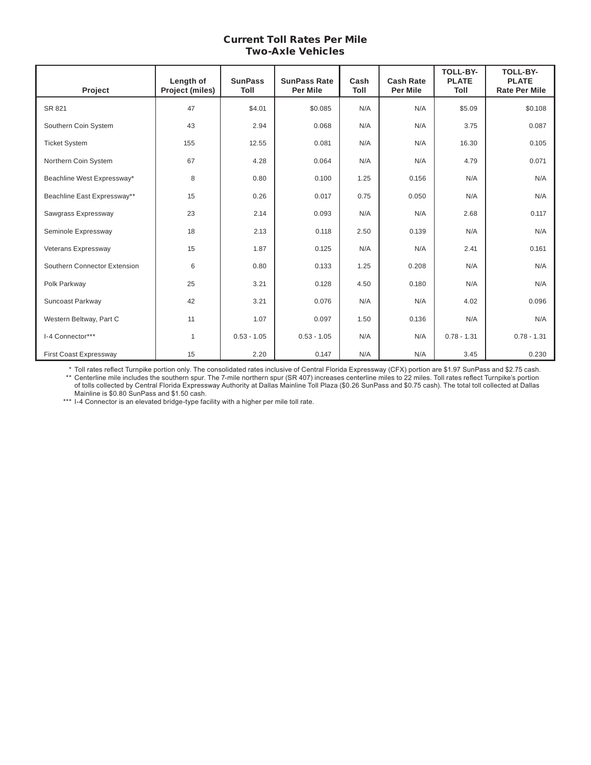#### Current Toll Rates Per Mile Two-Axle Vehicles

| Project                      | Length of<br>Project (miles) | <b>SunPass</b><br><b>Toll</b> | <b>SunPass Rate</b><br><b>Per Mile</b> | Cash<br>Toll | <b>Cash Rate</b><br><b>Per Mile</b> | <b>TOLL-BY-</b><br><b>PLATE</b><br>Toll | <b>TOLL-BY-</b><br><b>PLATE</b><br><b>Rate Per Mile</b> |
|------------------------------|------------------------------|-------------------------------|----------------------------------------|--------------|-------------------------------------|-----------------------------------------|---------------------------------------------------------|
| SR 821                       | 47                           | \$4.01                        | \$0.085                                | N/A          | N/A                                 | \$5.09                                  | \$0.108                                                 |
| Southern Coin System         | 43                           | 2.94                          | 0.068                                  | N/A          | N/A                                 | 3.75                                    | 0.087                                                   |
| <b>Ticket System</b>         | 155                          | 12.55                         | 0.081                                  | N/A          | N/A                                 | 16.30                                   | 0.105                                                   |
| Northern Coin System         | 67                           | 4.28                          | 0.064                                  | N/A          | N/A                                 | 4.79                                    | 0.071                                                   |
| Beachline West Expressway*   | 8                            | 0.80                          | 0.100                                  | 1.25         | 0.156                               | N/A                                     | N/A                                                     |
| Beachline East Expressway**  | 15                           | 0.26                          | 0.017                                  | 0.75         | 0.050                               | N/A                                     | N/A                                                     |
| Sawgrass Expressway          | 23                           | 2.14                          | 0.093                                  | N/A          | N/A                                 | 2.68                                    | 0.117                                                   |
| Seminole Expressway          | 18                           | 2.13                          | 0.118                                  | 2.50         | 0.139                               | N/A                                     | N/A                                                     |
| Veterans Expressway          | 15                           | 1.87                          | 0.125                                  | N/A          | N/A                                 | 2.41                                    | 0.161                                                   |
| Southern Connector Extension | 6                            | 0.80                          | 0.133                                  | 1.25         | 0.208                               | N/A                                     | N/A                                                     |
| Polk Parkway                 | 25                           | 3.21                          | 0.128                                  | 4.50         | 0.180                               | N/A                                     | N/A                                                     |
| Suncoast Parkway             | 42                           | 3.21                          | 0.076                                  | N/A          | N/A                                 | 4.02                                    | 0.096                                                   |
| Western Beltway, Part C      | 11                           | 1.07                          | 0.097                                  | 1.50         | 0.136                               | N/A                                     | N/A                                                     |
| I-4 Connector***             | $\mathbf{1}$                 | $0.53 - 1.05$                 | $0.53 - 1.05$                          | N/A          | N/A                                 | $0.78 - 1.31$                           | $0.78 - 1.31$                                           |
| First Coast Expressway       | 15                           | 2.20                          | 0.147                                  | N/A          | N/A                                 | 3.45                                    | 0.230                                                   |

\* Toll rates reflect Turnpike portion only. The consolidated rates inclusive of Central Florida Expressway (CFX) portion are \$1.97 SunPass and \$2.75 cash.

 \*\* Centerline mile includes the southern spur. The 7-mile northern spur (SR 407) increases centerline miles to 22 miles. Toll rates reflect Turnpike's portion of tolls collected by Central Florida Expressway Authority at Dallas Mainline Toll Plaza (\$0.26 SunPass and \$0.75 cash). The total toll collected at Dallas Mainline is \$0.80 SunPass and \$1.50 cash.

 \*\*\* I-4 Connector is an elevated bridge-type facility with a higher per mile toll rate.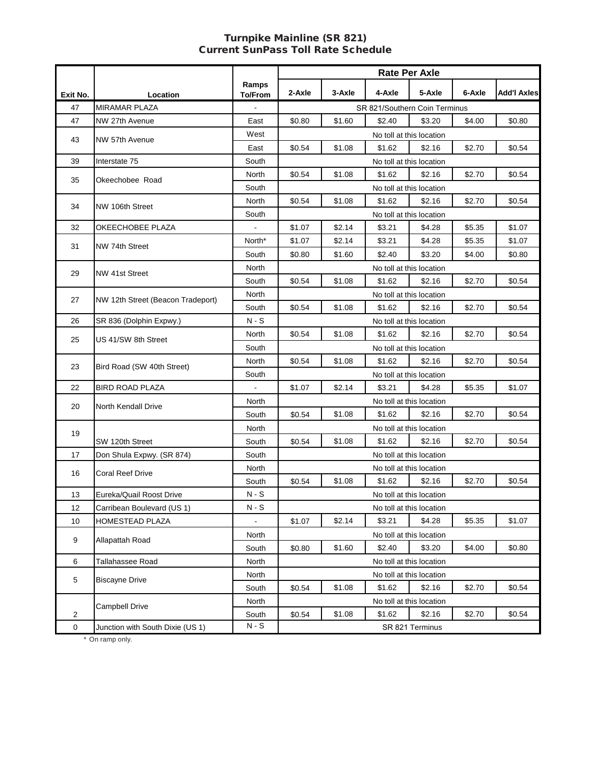#### Turnpike Mainline (SR 821) Current SunPass Toll Rate Schedule

|                |                                   |                | <b>Rate Per Axle</b> |        |                               |                                    |        |                    |  |  |
|----------------|-----------------------------------|----------------|----------------------|--------|-------------------------------|------------------------------------|--------|--------------------|--|--|
|                |                                   | Ramps          | 2-Axle               | 3-Axle | 4-Axle                        | 5-Axle                             | 6-Axle | <b>Add'l Axles</b> |  |  |
| Exit No.<br>47 | Location<br>MIRAMAR PLAZA         | <b>To/From</b> |                      |        | SR 821/Southern Coin Terminus |                                    |        |                    |  |  |
| 47             | NW 27th Avenue                    | East           | \$0.80               | \$1.60 | \$2.40                        | \$3.20                             | \$4.00 | \$0.80             |  |  |
|                |                                   | West           |                      |        |                               | No toll at this location           |        |                    |  |  |
| 43             | NW 57th Avenue                    | East           | \$0.54               | \$1.08 | \$1.62                        | \$2.16                             | \$2.70 | \$0.54             |  |  |
| 39             | Interstate 75                     | South          |                      |        |                               |                                    |        |                    |  |  |
|                |                                   | North          | \$0.54               | \$1.08 | \$1.62                        | No toll at this location<br>\$2.16 | \$2.70 | \$0.54             |  |  |
| 35             | Okeechobee Road                   | South          |                      |        |                               | No toll at this location           |        |                    |  |  |
|                |                                   | North          | \$0.54               | \$1.08 | \$1.62                        | \$2.16                             | \$2.70 | \$0.54             |  |  |
| 34             | NW 106th Street                   | South          |                      |        |                               |                                    |        |                    |  |  |
|                |                                   |                |                      |        |                               | No toll at this location           |        |                    |  |  |
| 32             | OKEECHOBEE PLAZA                  | $\blacksquare$ | \$1.07               | \$2.14 | \$3.21                        | \$4.28                             | \$5.35 | \$1.07             |  |  |
| 31             | NW 74th Street                    | North*         | \$1.07               | \$2.14 | \$3.21                        | \$4.28                             | \$5.35 | \$1.07             |  |  |
|                |                                   | South          | \$0.80               | \$1.60 | \$2.40                        | \$3.20                             | \$4.00 | \$0.80             |  |  |
| 29             | NW 41st Street                    | North          |                      |        |                               | No toll at this location           |        |                    |  |  |
|                |                                   | South          | \$0.54               | \$1.08 | \$1.62                        | \$2.16                             | \$2.70 | \$0.54             |  |  |
| 27             | NW 12th Street (Beacon Tradeport) | North          |                      |        |                               | No toll at this location           |        |                    |  |  |
|                |                                   | South          | \$0.54               | \$1.08 | \$1.62                        | \$2.16                             | \$2.70 | \$0.54             |  |  |
| 26             | SR 836 (Dolphin Expwy.)           | N - S          |                      |        |                               | No toll at this location           |        |                    |  |  |
| 25             | US 41/SW 8th Street               | North          | \$0.54               | \$1.08 | \$1.62                        | \$2.16                             | \$2.70 | \$0.54             |  |  |
|                |                                   | South          |                      |        |                               | No toll at this location           |        |                    |  |  |
| 23             | Bird Road (SW 40th Street)        | North          | \$0.54               | \$1.08 | \$1.62                        | \$2.16                             | \$2.70 | \$0.54             |  |  |
|                |                                   | South          |                      |        |                               | No toll at this location           |        |                    |  |  |
| 22             | <b>BIRD ROAD PLAZA</b>            |                | \$1.07               | \$2.14 | \$3.21                        | \$4.28                             | \$5.35 | \$1.07             |  |  |
| 20             | North Kendall Drive               | North          |                      |        |                               | No toll at this location           |        |                    |  |  |
|                |                                   | South          | \$0.54               | \$1.08 | \$1.62                        | \$2.16                             | \$2.70 | \$0.54             |  |  |
| 19             |                                   | North          |                      |        |                               | No toll at this location           |        |                    |  |  |
|                | SW 120th Street                   | South          | \$0.54               | \$1.08 | \$1.62                        | \$2.16                             | \$2.70 | \$0.54             |  |  |
| 17             | Don Shula Expwy. (SR 874)         | South          |                      |        |                               | No toll at this location           |        |                    |  |  |
| 16             | Coral Reef Drive                  | North          |                      |        |                               | No toll at this location           |        |                    |  |  |
|                |                                   | South          | \$0.54               | \$1.08 | \$1.62                        | \$2.16                             | \$2.70 | \$0.54             |  |  |
| 13             | Eureka/Quail Roost Drive          | $N-S$          |                      |        |                               | No toll at this location           |        |                    |  |  |
| 12             | Carribean Boulevard (US 1)        | $N-S$          |                      |        |                               | No toll at this location           |        |                    |  |  |
| 10             | HOMESTEAD PLAZA                   |                | \$1.07               | \$2.14 | \$3.21                        | \$4.28                             | \$5.35 | \$1.07             |  |  |
| 9              | Allapattah Road                   | North          |                      |        |                               | No toll at this location           |        |                    |  |  |
|                |                                   | South          | \$0.80               | \$1.60 | \$2.40                        | \$3.20                             | \$4.00 | \$0.80             |  |  |
| 6              | Tallahassee Road                  | North          |                      |        |                               | No toll at this location           |        |                    |  |  |
|                |                                   | North          |                      |        |                               | No toll at this location           |        |                    |  |  |
| 5              | <b>Biscayne Drive</b>             | South          | \$0.54               | \$1.08 | \$1.62                        | \$2.16                             | \$2.70 | \$0.54             |  |  |
|                |                                   | North          |                      |        |                               | No toll at this location           |        |                    |  |  |
| $\overline{a}$ | <b>Campbell Drive</b>             | South          | \$0.54               | \$1.08 | \$1.62                        | \$2.16                             | \$2.70 | \$0.54             |  |  |
| 0              | Junction with South Dixie (US 1)  | $N-S$          |                      |        |                               | SR 821 Terminus                    |        |                    |  |  |
|                | * On ramp only.                   |                |                      |        |                               |                                    |        |                    |  |  |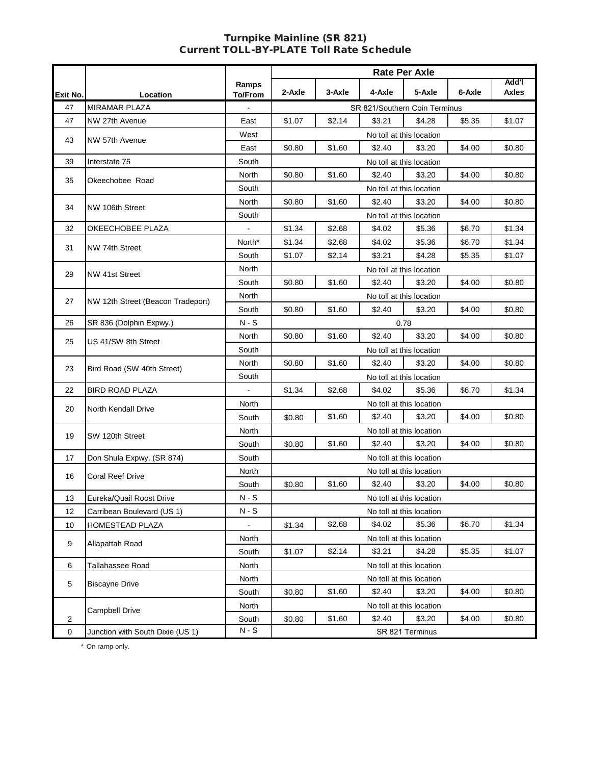#### Turnpike Mainline (SR 821) Current TOLL-BY-PLATE Toll Rate Schedule

|                |                                   |                         | Rate Per Axle |        |                               |                          |        |                       |  |
|----------------|-----------------------------------|-------------------------|---------------|--------|-------------------------------|--------------------------|--------|-----------------------|--|
| Exit No.       | Location                          | Ramps<br><b>To/From</b> | 2-Axle        | 3-Axle | 4-Axle                        | 5-Axle                   | 6-Axle | Add'l<br><b>Axles</b> |  |
| 47             | <b>MIRAMAR PLAZA</b>              |                         |               |        | SR 821/Southern Coin Terminus |                          |        |                       |  |
| 47             | NW 27th Avenue                    | East                    | \$1.07        | \$2.14 | \$3.21                        | \$4.28                   | \$5.35 | \$1.07                |  |
|                |                                   | West                    |               |        |                               | No toll at this location |        |                       |  |
| 43             | NW 57th Avenue                    | East                    | \$0.80        | \$1.60 | \$2.40                        | \$3.20                   | \$4.00 | \$0.80                |  |
| 39             | Interstate 75                     | South                   |               |        |                               | No toll at this location |        |                       |  |
|                |                                   | North                   | \$0.80        | \$1.60 | \$2.40                        | \$3.20                   | \$4.00 | \$0.80                |  |
| 35             | Okeechobee Road                   | South                   |               |        |                               | No toll at this location |        |                       |  |
|                |                                   | North                   | \$0.80        | \$1.60 | \$2.40                        | \$3.20                   | \$4.00 | \$0.80                |  |
| 34             | NW 106th Street                   | South                   |               |        |                               | No toll at this location |        |                       |  |
| 32             | OKEECHOBEE PLAZA                  | $\blacksquare$          | \$1.34        | \$2.68 | \$4.02                        | \$5.36                   | \$6.70 | \$1.34                |  |
| 31             | NW 74th Street                    | North*                  | \$1.34        | \$2.68 | \$4.02                        | \$5.36                   | \$6.70 | \$1.34                |  |
|                |                                   | South                   | \$1.07        | \$2.14 | \$3.21                        | \$4.28                   | \$5.35 | \$1.07                |  |
| 29             | NW 41st Street                    | North                   |               |        |                               | No toll at this location |        |                       |  |
|                |                                   | South                   | \$0.80        | \$1.60 | \$2.40                        | \$3.20                   | \$4.00 | \$0.80                |  |
| 27             | NW 12th Street (Beacon Tradeport) | North                   |               |        |                               | No toll at this location |        |                       |  |
|                |                                   | South                   | \$0.80        | \$1.60 | \$2.40                        | \$3.20                   | \$4.00 | \$0.80                |  |
| 26             | SR 836 (Dolphin Expwy.)           | $N-S$                   |               |        | 0.78                          |                          |        |                       |  |
| 25             | US 41/SW 8th Street               | North                   | \$0.80        | \$1.60 | \$2.40                        | \$3.20                   | \$4.00 | \$0.80                |  |
|                |                                   | South                   |               |        | No toll at this location      |                          |        |                       |  |
| 23             | Bird Road (SW 40th Street)        | North                   | \$0.80        | \$1.60 | \$2.40                        | \$3.20                   | \$4.00 | \$0.80                |  |
|                |                                   | South                   |               |        |                               | No toll at this location |        |                       |  |
| 22             | <b>BIRD ROAD PLAZA</b>            | $\blacksquare$          | \$1.34        | \$2.68 | \$4.02                        | \$5.36                   | \$6.70 | \$1.34                |  |
| 20             | North Kendall Drive               | North                   |               |        |                               | No toll at this location |        |                       |  |
|                |                                   | South                   | \$0.80        | \$1.60 | \$2.40                        | \$3.20                   | \$4.00 | \$0.80                |  |
| 19             | SW 120th Street                   | North                   |               |        |                               | No toll at this location |        |                       |  |
|                |                                   | South                   | \$0.80        | \$1.60 | \$2.40                        | \$3.20                   | \$4.00 | \$0.80                |  |
| 17             | Don Shula Expwy. (SR 874)         | South                   |               |        |                               | No toll at this location |        |                       |  |
| 16             | Coral Reef Drive                  | North                   |               |        |                               | No toll at this location |        |                       |  |
|                |                                   | South                   | \$0.80        | \$1.60 | \$2.40                        | \$3.20                   | \$4.00 | \$0.80                |  |
| 13             | Eureka/Quail Roost Drive          | $N-S$                   |               |        |                               | No toll at this location |        |                       |  |
| 12             | Carribean Boulevard (US 1)        | $N-S$                   |               |        |                               | No toll at this location |        |                       |  |
| 10             | <b>HOMESTEAD PLAZA</b>            | $\blacksquare$          | \$1.34        | \$2.68 | \$4.02                        | \$5.36                   | \$6.70 | \$1.34                |  |
| 9              | Allapattah Road                   | <b>North</b>            |               |        |                               | No toll at this location |        |                       |  |
|                |                                   | South                   | \$1.07        | \$2.14 | \$3.21                        | \$4.28                   | \$5.35 | \$1.07                |  |
| 6              | Tallahassee Road                  | North                   |               |        |                               | No toll at this location |        |                       |  |
| 5              | <b>Biscayne Drive</b>             | North                   |               |        |                               | No toll at this location |        |                       |  |
|                |                                   | South                   | \$0.80        | \$1.60 | \$2.40                        | \$3.20                   | \$4.00 | \$0.80                |  |
|                | <b>Campbell Drive</b>             | North                   |               |        |                               | No toll at this location |        |                       |  |
| $\overline{2}$ |                                   | South                   | \$0.80        | \$1.60 | \$2.40                        | \$3.20                   | \$4.00 | \$0.80                |  |
| $\mathbf 0$    | Junction with South Dixie (US 1)  | $N-S$                   |               |        |                               | SR 821 Terminus          |        |                       |  |

\* On ramp only.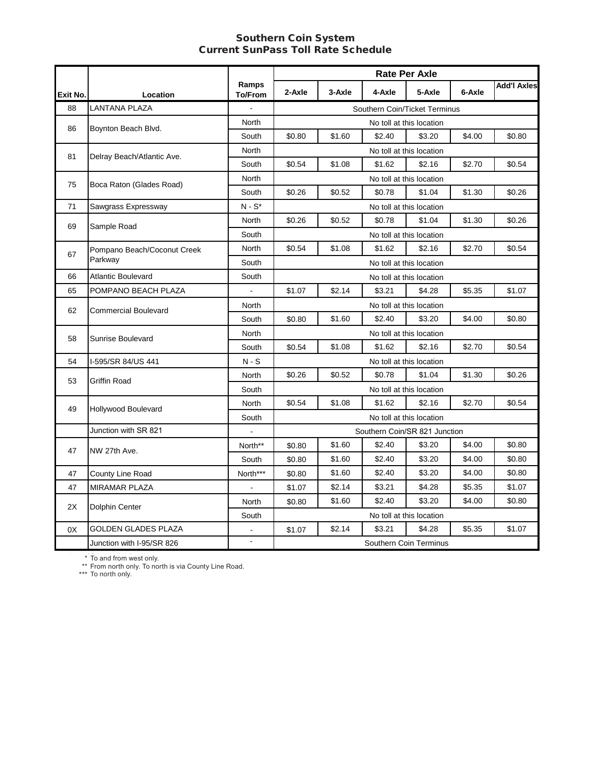#### **Southern Coin System** Southern Coin System Current SunPass Toll Rate Schedule

|          |                             |                         | <b>Rate Per Axle</b> |        |                               |                          |        |                    |  |
|----------|-----------------------------|-------------------------|----------------------|--------|-------------------------------|--------------------------|--------|--------------------|--|
| Exit No. | Location                    | Ramps<br><b>To/From</b> | 2-Axle               | 3-Axle | 4-Axle                        | 5-Axle                   | 6-Axle | <b>Add'l Axles</b> |  |
| 88       | <b>LANTANA PLAZA</b>        |                         |                      |        | Southern Coin/Ticket Terminus |                          |        |                    |  |
| 86       | Boynton Beach Blvd.         | North                   |                      |        |                               | No toll at this location |        |                    |  |
|          |                             | South                   | \$0.80               | \$1.60 | \$2.40                        | \$3.20                   | \$4.00 | \$0.80             |  |
|          |                             | North                   |                      |        |                               | No toll at this location |        |                    |  |
| 81       | Delray Beach/Atlantic Ave.  | South                   | \$0.54               | \$1.08 | \$1.62                        | \$2.16                   | \$2.70 | \$0.54             |  |
| 75       |                             | North                   |                      |        |                               | No toll at this location |        |                    |  |
|          | Boca Raton (Glades Road)    | South                   | \$0.26               | \$0.52 | \$0.78                        | \$1.04                   | \$1.30 | \$0.26             |  |
| 71       | Sawgrass Expressway         | $N-S^*$                 |                      |        |                               | No toll at this location |        |                    |  |
|          |                             | North                   | \$0.26               | \$0.52 | \$0.78                        | \$1.04                   | \$1.30 | \$0.26             |  |
| 69       | Sample Road                 | South                   |                      |        |                               | No toll at this location |        |                    |  |
|          | Pompano Beach/Coconut Creek | <b>North</b>            | \$0.54               | \$1.08 | \$1.62                        | \$2.16                   | \$2.70 | \$0.54             |  |
| 67       | Parkway                     | South                   |                      |        |                               | No toll at this location |        |                    |  |
| 66       | <b>Atlantic Boulevard</b>   | South                   |                      |        |                               | No toll at this location |        |                    |  |
| 65       | POMPANO BEACH PLAZA         |                         | \$1.07               | \$2.14 | \$3.21                        | \$4.28                   | \$5.35 | \$1.07             |  |
| 62       | <b>Commercial Boulevard</b> | North                   |                      |        |                               | No toll at this location |        |                    |  |
|          |                             | South                   | \$0.80               | \$1.60 | \$2.40                        | \$3.20                   | \$4.00 | \$0.80             |  |
| 58       | Sunrise Boulevard           | North                   |                      |        |                               | No toll at this location |        |                    |  |
|          |                             | South                   | \$0.54               | \$1.08 | \$1.62                        | \$2.16                   | \$2.70 | \$0.54             |  |
| 54       | I-595/SR 84/US 441          | $N-S$                   |                      |        |                               | No toll at this location |        |                    |  |
| 53       | Griffin Road                | North                   | \$0.26               | \$0.52 | \$0.78                        | \$1.04                   | \$1.30 | \$0.26             |  |
|          |                             | South                   |                      |        |                               | No toll at this location |        |                    |  |
| 49       | Hollywood Boulevard         | North                   | \$0.54               | \$1.08 | \$1.62                        | \$2.16                   | \$2.70 | \$0.54             |  |
|          |                             | South                   |                      |        |                               | No toll at this location |        |                    |  |
|          | Junction with SR 821        |                         |                      |        | Southern Coin/SR 821 Junction |                          |        |                    |  |
| 47       | NW 27th Ave.                | North**                 | \$0.80               | \$1.60 | \$2.40                        | \$3.20                   | \$4.00 | \$0.80             |  |
|          |                             | South                   | \$0.80               | \$1.60 | \$2.40                        | \$3.20                   | \$4.00 | \$0.80             |  |
| 47       | County Line Road            | North***                | \$0.80               | \$1.60 | \$2.40                        | \$3.20                   | \$4.00 | \$0.80             |  |
| 47       | <b>MIRAMAR PLAZA</b>        |                         | \$1.07               | \$2.14 | \$3.21                        | \$4.28                   | \$5.35 | \$1.07             |  |
| 2X       | Dolphin Center              | North                   | \$0.80               | \$1.60 | \$2.40                        | \$3.20                   | \$4.00 | \$0.80             |  |
|          |                             | South                   |                      |        |                               | No toll at this location |        |                    |  |
| 0X       | <b>GOLDEN GLADES PLAZA</b>  |                         | \$1.07               | \$2.14 | \$3.21                        | \$4.28                   | \$5.35 | \$1.07             |  |
|          | Junction with I-95/SR 826   |                         |                      |        |                               | Southern Coin Terminus   |        |                    |  |

\* To and from west only. \* To and from west only.

\*\* From north only. To north is via County Lir \*\* From north only. To north is via County Line Road.

\*\*\* To nor \*\*\* To north only.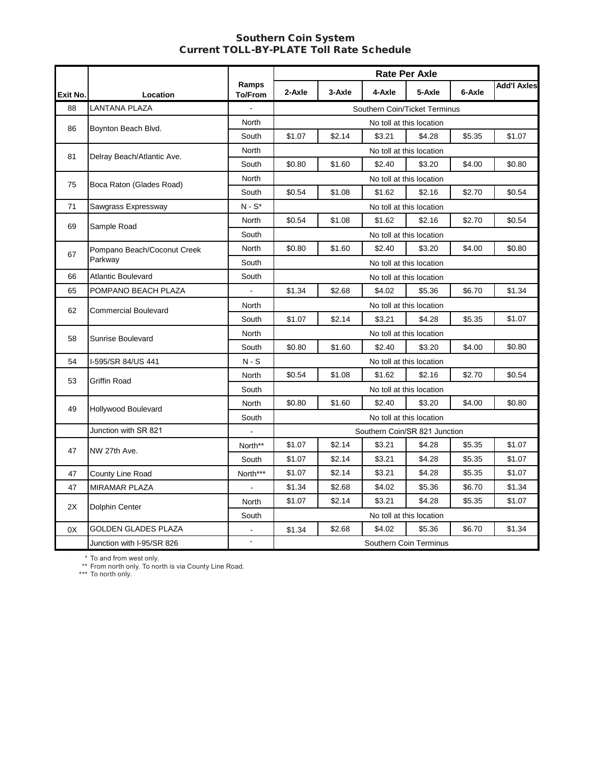#### **Southern Coin System** Southern Coin System Current TOLL-BY-PLATE Toll Rate Schedule

|          |                             |                         | <b>Rate Per Axle</b> |        |                               |                          |        |                    |  |  |
|----------|-----------------------------|-------------------------|----------------------|--------|-------------------------------|--------------------------|--------|--------------------|--|--|
| Exit No. | Location                    | Ramps<br><b>To/From</b> | 2-Axle               | 3-Axle | 4-Axle                        | 5-Axle                   | 6-Axle | <b>Add'l Axles</b> |  |  |
| 88       | <b>LANTANA PLAZA</b>        |                         |                      |        | Southern Coin/Ticket Terminus |                          |        |                    |  |  |
|          |                             | North                   |                      |        |                               | No toll at this location |        |                    |  |  |
| 86       | Boynton Beach Blvd.         | South                   | \$1.07               | \$2.14 | \$3.21                        | \$4.28                   | \$5.35 | \$1.07             |  |  |
|          |                             | North                   |                      |        |                               | No toll at this location |        |                    |  |  |
| 81       | Delray Beach/Atlantic Ave.  | South                   | \$0.80               | \$1.60 | \$2.40                        | \$3.20                   | \$4.00 | \$0.80             |  |  |
| 75       |                             | North                   |                      |        |                               | No toll at this location |        |                    |  |  |
|          | Boca Raton (Glades Road)    | South                   | \$0.54               | \$1.08 | \$1.62                        | \$2.16                   | \$2.70 | \$0.54             |  |  |
| 71       | Sawgrass Expressway         | $N-S^*$                 |                      |        |                               | No toll at this location |        |                    |  |  |
| 69       |                             | North                   | \$0.54               | \$1.08 | \$1.62                        | \$2.16                   | \$2.70 | \$0.54             |  |  |
|          | Sample Road                 | South                   |                      |        |                               | No toll at this location |        |                    |  |  |
|          | Pompano Beach/Coconut Creek | North                   | \$0.80               | \$1.60 | \$2.40                        | \$3.20                   | \$4.00 | \$0.80             |  |  |
| 67       | Parkway                     | South                   |                      |        |                               | No toll at this location |        |                    |  |  |
| 66       | <b>Atlantic Boulevard</b>   | South                   |                      |        |                               | No toll at this location |        |                    |  |  |
| 65       | POMPANO BEACH PLAZA         |                         | \$1.34               | \$2.68 | \$4.02                        | \$5.36                   | \$6.70 | \$1.34             |  |  |
| 62       | <b>Commercial Boulevard</b> | North                   |                      |        |                               | No toll at this location |        |                    |  |  |
|          |                             | South                   | \$1.07               | \$2.14 | \$3.21                        | \$4.28                   | \$5.35 | \$1.07             |  |  |
| 58       | <b>Sunrise Boulevard</b>    | North                   |                      |        |                               | No toll at this location |        |                    |  |  |
|          |                             | South                   | \$0.80               | \$1.60 | \$2.40                        | \$3.20                   | \$4.00 | \$0.80             |  |  |
| 54       | I-595/SR 84/US 441          | $N-S$                   |                      |        |                               | No toll at this location |        |                    |  |  |
| 53       | Griffin Road                | North                   | \$0.54               | \$1.08 | \$1.62                        | \$2.16                   | \$2.70 | \$0.54             |  |  |
|          |                             | South                   |                      |        |                               | No toll at this location |        |                    |  |  |
| 49       | Hollywood Boulevard         | North                   | \$0.80               | \$1.60 | \$2.40                        | \$3.20                   | \$4.00 | \$0.80             |  |  |
|          |                             | South                   |                      |        |                               | No toll at this location |        |                    |  |  |
|          | Junction with SR 821        |                         |                      |        | Southern Coin/SR 821 Junction |                          |        |                    |  |  |
| 47       | NW 27th Ave.                | North**                 | \$1.07               | \$2.14 | \$3.21                        | \$4.28                   | \$5.35 | \$1.07             |  |  |
|          |                             | South                   | \$1.07               | \$2.14 | \$3.21                        | \$4.28                   | \$5.35 | \$1.07             |  |  |
| 47       | County Line Road            | North***                | \$1.07               | \$2.14 | \$3.21                        | \$4.28                   | \$5.35 | \$1.07             |  |  |
| 47       | <b>MIRAMAR PLAZA</b>        |                         | \$1.34               | \$2.68 | \$4.02                        | \$5.36                   | \$6.70 | \$1.34             |  |  |
| 2X       | Dolphin Center              | North                   | \$1.07               | \$2.14 | \$3.21                        | \$4.28                   | \$5.35 | \$1.07             |  |  |
|          |                             | South                   |                      |        |                               | No toll at this location |        |                    |  |  |
| 0X       | GOLDEN GLADES PLAZA         |                         | \$1.34               | \$2.68 | \$4.02                        | \$5.36                   | \$6.70 | \$1.34             |  |  |
|          | Junction with I-95/SR 826   |                         |                      |        |                               | Southern Coin Terminus   |        |                    |  |  |

\* To and from west only. \* To and from west only.

\*\* From north only. To north is via County Li \*\* From north only. To north is via County Line Road.

 $* * *$ \*\*\* To north only.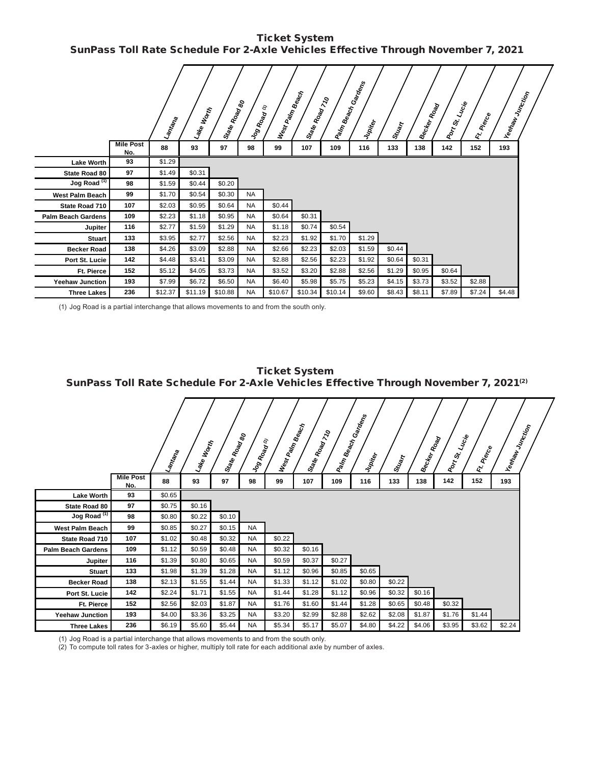Ticket System **Ticket System**  SunPass Toll Rate Schedule For 2-Axle Vehicles Effective Through November 7, 2021  **SunPass Toll Rate Schedule For 2-Axle Vehicles Effective Through November 7, 2021**

|                           |                         | <b>Lantana</b> | <b>Lake Work</b> | Star <sub>te Road</sub><br>Kar <sub>te Road</sub> | Log Road  | E<br>West Paint | <b>Beach</b><br>State Road 710 | <b>Palm Beach</b> | Garagns<br>Jupiter | Stuart | <b>Becker</b> | Road<br>Port St. | Lucie<br>Pierce<br>$\mathbf{z}^{\mathbf{c}}$ | <b>Veelraw</b> Junction |  |
|---------------------------|-------------------------|----------------|------------------|---------------------------------------------------|-----------|-----------------|--------------------------------|-------------------|--------------------|--------|---------------|------------------|----------------------------------------------|-------------------------|--|
|                           | <b>Mile Post</b><br>No. | 88             | 93               | 97                                                | 98        | 99              | 107                            | 109               | 116                | 133    | 138           | 142              | 152                                          | 193                     |  |
| <b>Lake Worth</b>         | 93                      | \$1.29         |                  |                                                   |           |                 |                                |                   |                    |        |               |                  |                                              |                         |  |
| State Road 80             | 97                      | \$1.49         | \$0.31           |                                                   |           |                 |                                |                   |                    |        |               |                  |                                              |                         |  |
| Jog Road <sup>(1)</sup>   | 98                      | \$1.59         | \$0.44           | \$0.20                                            |           |                 |                                |                   |                    |        |               |                  |                                              |                         |  |
| <b>West Palm Beach</b>    | 99                      | \$1.70         | \$0.54           | \$0.30                                            | <b>NA</b> |                 |                                |                   |                    |        |               |                  |                                              |                         |  |
| State Road 710            | 107                     | \$2.03         | \$0.95           | \$0.64                                            | <b>NA</b> | \$0.44          |                                |                   |                    |        |               |                  |                                              |                         |  |
| <b>Palm Beach Gardens</b> | 109                     | \$2.23         | \$1.18           | \$0.95                                            | <b>NA</b> | \$0.64          | \$0.31                         |                   |                    |        |               |                  |                                              |                         |  |
| Jupiter                   | 116                     | \$2.77         | \$1.59           | \$1.29                                            | <b>NA</b> | \$1.18          | \$0.74                         | \$0.54            |                    |        |               |                  |                                              |                         |  |
| <b>Stuart</b>             | 133                     | \$3.95         | \$2.77           | \$2.56                                            | <b>NA</b> | \$2.23          | \$1.92                         | \$1.70            | \$1.29             |        |               |                  |                                              |                         |  |
| <b>Becker Road</b>        | 138                     | \$4.26         | \$3.09           | \$2.88                                            | <b>NA</b> | \$2.66          | \$2.23                         | \$2.03            | \$1.59             | \$0.44 |               |                  |                                              |                         |  |
| Port St. Lucie            | 142                     | \$4.48         | \$3.41           | \$3.09                                            | <b>NA</b> | \$2.88          | \$2.56                         | \$2.23            | \$1.92             | \$0.64 | \$0.31        |                  |                                              |                         |  |
| Ft. Pierce                | 152                     | \$5.12         | \$4.05           | \$3.73                                            | <b>NA</b> | \$3.52          | \$3.20                         | \$2.88            | \$2.56             | \$1.29 | \$0.95        | \$0.64           |                                              |                         |  |
| <b>Yeehaw Junction</b>    | 193                     | \$7.99         | \$6.72           | \$6.50                                            | <b>NA</b> | \$6.40          | \$5.98                         | \$5.75            | \$5.23             | \$4.15 | \$3.73        | \$3.52           | \$2.88                                       |                         |  |
| <b>Three Lakes</b>        | 236                     | \$12.37        | \$11.19          | \$10.88                                           | <b>NA</b> | \$10.67         | \$10.34                        | \$10.14           | \$9.60             | \$8.43 | \$8.11        | \$7.89           | \$7.24                                       | \$4.48                  |  |

**Becker Road 138** NA \$2.88 NA \$2.88 NA \$2.88 NA \$2.66 NA \$2.03 \$2.04 NA \$2.66 NA \$2.66 NA \$2.03 \$2.04 NA \$2.03 \$2.04 NA (1) Jog Road is a partial interchange that allows movements to and from the south only.

| <b>Ticket System</b><br>SunPass Toll Rate Schedule For 2-Axle Vehicles Effective Through November 7, 2021 <sup>(2)</sup> |                         |              |           |            |           |                      |                |        |                               |        |                     |           |                     |                        |  |
|--------------------------------------------------------------------------------------------------------------------------|-------------------------|--------------|-----------|------------|-----------|----------------------|----------------|--------|-------------------------------|--------|---------------------|-----------|---------------------|------------------------|--|
|                                                                                                                          |                         | <b>Laman</b> | Lake Work | State Road | Vog Road  | West Palm Beach<br>E | State Road 710 |        | Paim Beach Gardens<br>Vupiter | Stuart | <b>lsecker Road</b> | IPort St. | Lucie<br>IR. Piecce | <b>Veepaw</b> Junction |  |
|                                                                                                                          | <b>Mile Post</b><br>No. | 88           | 93        | 97         | 98        | 99                   | 107            | 109    | 116                           | 133    | 138                 | 142       | 152                 | 193                    |  |
| <b>Lake Worth</b>                                                                                                        | 93                      | \$0.65       |           |            |           |                      |                |        |                               |        |                     |           |                     |                        |  |
| State Road 80                                                                                                            | 97                      | \$0.75       | \$0.16    |            |           |                      |                |        |                               |        |                     |           |                     |                        |  |
| Jog Road <sup>(1)</sup>                                                                                                  | 98                      | \$0.80       | \$0.22    | \$0.10     |           |                      |                |        |                               |        |                     |           |                     |                        |  |
| <b>West Palm Beach</b>                                                                                                   | 99                      | \$0.85       | \$0.27    | \$0.15     | <b>NA</b> |                      |                |        |                               |        |                     |           |                     |                        |  |
| State Road 710                                                                                                           | 107                     | \$1.02       | \$0.48    | \$0.32     | <b>NA</b> | \$0.22               |                |        |                               |        |                     |           |                     |                        |  |
| <b>Palm Beach Gardens</b>                                                                                                | 109                     | \$1.12       | \$0.59    | \$0.48     | <b>NA</b> | \$0.32               | \$0.16         |        |                               |        |                     |           |                     |                        |  |
| Jupiter                                                                                                                  | 116                     | \$1.39       | \$0.80    | \$0.65     | <b>NA</b> | \$0.59               | \$0.37         | \$0.27 |                               |        |                     |           |                     |                        |  |
| <b>Stuart</b>                                                                                                            | 133                     | \$1.98       | \$1.39    | \$1.28     | <b>NA</b> | \$1.12               | \$0.96         | \$0.85 | \$0.65                        |        |                     |           |                     |                        |  |
| <b>Becker Road</b>                                                                                                       | 138                     | \$2.13       | \$1.55    | \$1.44     | <b>NA</b> | \$1.33               | \$1.12         | \$1.02 | \$0.80                        | \$0.22 |                     |           |                     |                        |  |
| Port St. Lucie                                                                                                           | 142                     | \$2.24       | \$1.71    | \$1.55     | <b>NA</b> | \$1.44               | \$1.28         | \$1.12 | \$0.96                        | \$0.32 | \$0.16              |           |                     |                        |  |
| Ft. Pierce                                                                                                               | 152                     | \$2.56       | \$2.03    | \$1.87     | <b>NA</b> | \$1.76               | \$1.60         | \$1.44 | \$1.28                        | \$0.65 | \$0.48              | \$0.32    |                     |                        |  |
| <b>Yeehaw Junction</b>                                                                                                   | 193                     | \$4.00       | \$3.36    | \$3.25     | <b>NA</b> | \$3.20               | \$2.99         | \$2.88 | \$2.62                        | \$2.08 | \$1.87              | \$1.76    | \$1.44              |                        |  |
| <b>Three Lakes</b>                                                                                                       | 236                     | \$6.19       | \$5.60    | \$5.44     | <b>NA</b> | \$5.34               | \$5.17         | \$5.07 | \$4.80                        | \$4.22 | \$4.06              | \$3.95    | \$3.62              | \$2.24                 |  |

(1) Jog Road is a partial interchange that allows movements to and from the south only.

(2) To compute toll rates for 3-axles or higher, multiply toll rate for each additional axle by number of axles.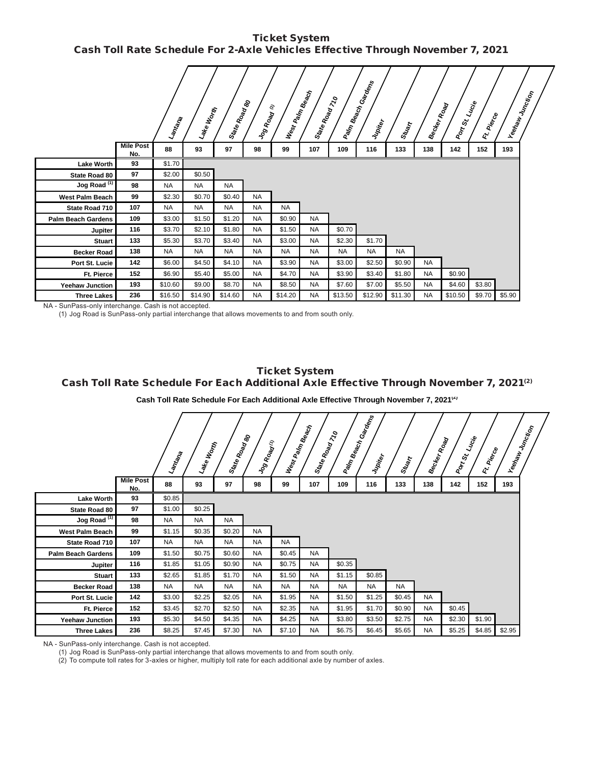Ticket System **Ticket System**  Cash Toll Rate Schedule For 2-Axle Vehicles Effective Through November 7, 2021 **Cash Toll Rate Schedule For 2-Axle Vehicles Effective Through November 7, 2021**

|                           |                         | Lamtana   | Lake Worth | State Road<br>Moad | Jog Road  | West Pain Beach<br>$\epsilon$ | State Road 710 |           | I Paim Beach Gardens<br>Jupiter | Stuart    | Becker Road | Port St. Lucie | <b>Pierce</b><br>É. | Yeehaw<br><sup>Whot</sup> ion |  |
|---------------------------|-------------------------|-----------|------------|--------------------|-----------|-------------------------------|----------------|-----------|---------------------------------|-----------|-------------|----------------|---------------------|-------------------------------|--|
|                           | <b>Mile Post</b><br>No. | 88        | 93         | 97                 | 98        | 99                            | 107            | 109       | 116                             | 133       | 138         | 142            | 152                 | 193                           |  |
| <b>Lake Worth</b>         | 93                      | \$1.70    |            |                    |           |                               |                |           |                                 |           |             |                |                     |                               |  |
| State Road 80             | 97                      | \$2.00    | \$0.50     |                    |           |                               |                |           |                                 |           |             |                |                     |                               |  |
| Jog Road <sup>(1)</sup>   | 98                      | <b>NA</b> | <b>NA</b>  | <b>NA</b>          |           |                               |                |           |                                 |           |             |                |                     |                               |  |
| <b>West Palm Beach</b>    | 99                      | \$2.30    | \$0.70     | \$0.40             | <b>NA</b> |                               |                |           |                                 |           |             |                |                     |                               |  |
| State Road 710            | 107                     | <b>NA</b> | <b>NA</b>  | <b>NA</b>          | <b>NA</b> | <b>NA</b>                     |                |           |                                 |           |             |                |                     |                               |  |
| <b>Palm Beach Gardens</b> | 109                     | \$3.00    | \$1.50     | \$1.20             | <b>NA</b> | \$0.90                        | <b>NA</b>      |           |                                 |           |             |                |                     |                               |  |
| Jupiter                   | 116                     | \$3.70    | \$2.10     | \$1.80             | <b>NA</b> | \$1.50                        | <b>NA</b>      | \$0.70    |                                 |           |             |                |                     |                               |  |
| <b>Stuart</b>             | 133                     | \$5.30    | \$3.70     | \$3.40             | <b>NA</b> | \$3.00                        | <b>NA</b>      | \$2.30    | \$1.70                          |           |             |                |                     |                               |  |
| <b>Becker Road</b>        | 138                     | <b>NA</b> | <b>NA</b>  | <b>NA</b>          | <b>NA</b> | <b>NA</b>                     | <b>NA</b>      | <b>NA</b> | <b>NA</b>                       | <b>NA</b> |             |                |                     |                               |  |
| Port St. Lucie            | 142                     | \$6.00    | \$4.50     | \$4.10             | <b>NA</b> | \$3.90                        | <b>NA</b>      | \$3.00    | \$2.50                          | \$0.90    | <b>NA</b>   |                |                     |                               |  |
| <b>Ft. Pierce</b>         | 152                     | \$6.90    | \$5.40     | \$5.00             | <b>NA</b> | \$4.70                        | <b>NA</b>      | \$3.90    | \$3.40                          | \$1.80    | <b>NA</b>   | \$0.90         |                     |                               |  |
| <b>Yeehaw Junction</b>    | 193                     | \$10.60   | \$9.00     | \$8.70             | <b>NA</b> | \$8.50                        | <b>NA</b>      | \$7.60    | \$7.00                          | \$5.50    | <b>NA</b>   | \$4.60         | \$3.80              |                               |  |
| <b>Three Lakes</b>        | 236                     | \$16.50   | \$14.90    | \$14.60            | <b>NA</b> | \$14.20                       | <b>NA</b>      | \$13.50   | \$12.90                         | \$11.30   | <b>NA</b>   | \$10.50        | \$9.70              | \$5.90                        |  |

**Becker Road 138** NA NA NA NA NA NA NA NA NA NA - SunPass-only interchange. Cash is not accepted.

(1) Jog Road is SunPass-only partial interchange that allows movements to and from south only.

# Ticket System Ticket System<br>
Cash Toll Rate Schedule For Each Additional Axle Effective Through November 7, 2021<sup>(2)</sup><br>
Cash Toll Rate Schedule For Each Additional Axle Effective Through November 7, 2021<sup>(2)</sup><br>
Alternational Axle Effectiv **Ticket System**

#### Cash Toll Rate Schedule For Each Additional Axle Effective Through November 7, 2021<sup>(2)</sup>

| Cash Toll Rate Schedule For Each Additional Axle Effective Through November 7, 2021 $\mathbb{Q}$ |                                                                                                                                                                                                                                                                                                                                            |           |           |           |           |           |           |           |        |           |           |        |        |        |  |
|--------------------------------------------------------------------------------------------------|--------------------------------------------------------------------------------------------------------------------------------------------------------------------------------------------------------------------------------------------------------------------------------------------------------------------------------------------|-----------|-----------|-----------|-----------|-----------|-----------|-----------|--------|-----------|-----------|--------|--------|--------|--|
|                                                                                                  | Cash Toll Rate Schedule For Each Additional Axle Effective Through November 7, 2021 <sup>(4)</sup>                                                                                                                                                                                                                                         |           |           |           |           |           |           |           |        |           |           |        |        |        |  |
|                                                                                                  | Palm Beach<br>  Beach Gardens <br>West Palm Beach<br>Yeehaw Junction<br>State Road 770<br>State Road<br>Moad<br><b>Port St. Lucie</b><br>Becker Road<br>Jog Road (1)<br>Lake Worth<br>Ft. Piecce<br>Lamtana<br>Jupiter<br>Stuart<br><b>Mile Post</b><br>88<br>93<br>97<br>107<br>142<br>152<br>98<br>99<br>109<br>116<br>133<br>138<br>193 |           |           |           |           |           |           |           |        |           |           |        |        |        |  |
|                                                                                                  | No.                                                                                                                                                                                                                                                                                                                                        |           |           |           |           |           |           |           |        |           |           |        |        |        |  |
| <b>Lake Worth</b>                                                                                | 93                                                                                                                                                                                                                                                                                                                                         | \$0.85    |           |           |           |           |           |           |        |           |           |        |        |        |  |
| State Road 80                                                                                    | 97                                                                                                                                                                                                                                                                                                                                         | \$1.00    | \$0.25    |           |           |           |           |           |        |           |           |        |        |        |  |
| Jog Road <sup>(1)</sup>                                                                          | 98                                                                                                                                                                                                                                                                                                                                         | <b>NA</b> | <b>NA</b> | <b>NA</b> |           |           |           |           |        |           |           |        |        |        |  |
| <b>West Palm Beach</b>                                                                           | 99                                                                                                                                                                                                                                                                                                                                         | \$1.15    | \$0.35    | \$0.20    | <b>NA</b> |           |           |           |        |           |           |        |        |        |  |
| State Road 710                                                                                   | 107                                                                                                                                                                                                                                                                                                                                        | <b>NA</b> | NA        | NA        | <b>NA</b> | <b>NA</b> |           |           |        |           |           |        |        |        |  |
| <b>Palm Beach Gardens</b>                                                                        | 109                                                                                                                                                                                                                                                                                                                                        | \$1.50    | \$0.75    | \$0.60    | <b>NA</b> | \$0.45    | <b>NA</b> |           |        |           |           |        |        |        |  |
| Jupiter                                                                                          | 116                                                                                                                                                                                                                                                                                                                                        | \$1.85    | \$1.05    | \$0.90    | <b>NA</b> | \$0.75    | <b>NA</b> | \$0.35    |        |           |           |        |        |        |  |
| <b>Stuart</b>                                                                                    | 133                                                                                                                                                                                                                                                                                                                                        | \$2.65    | \$1.85    | \$1.70    | NA        | \$1.50    | <b>NA</b> | \$1.15    | \$0.85 |           |           |        |        |        |  |
| <b>Becker Road</b>                                                                               | 138                                                                                                                                                                                                                                                                                                                                        | <b>NA</b> | <b>NA</b> | <b>NA</b> | NA.       | <b>NA</b> | <b>NA</b> | <b>NA</b> | NA.    | <b>NA</b> |           |        |        |        |  |
| Port St. Lucie                                                                                   | 142                                                                                                                                                                                                                                                                                                                                        | \$3.00    | \$2.25    | \$2.05    | <b>NA</b> | \$1.95    | <b>NA</b> | \$1.50    | \$1.25 | \$0.45    | <b>NA</b> |        |        |        |  |
| Ft. Pierce                                                                                       | 152                                                                                                                                                                                                                                                                                                                                        | \$3.45    | \$2.70    | \$2.50    | <b>NA</b> | \$2.35    | <b>NA</b> | \$1.95    | \$1.70 | \$0.90    | <b>NA</b> | \$0.45 |        |        |  |
| <b>Yeehaw Junction</b>                                                                           | 193                                                                                                                                                                                                                                                                                                                                        | \$5.30    | \$4.50    | \$4.35    | <b>NA</b> | \$4.25    | <b>NA</b> | \$3.80    | \$3.50 | \$2.75    | <b>NA</b> | \$2.30 | \$1.90 |        |  |
| <b>Three Lakes</b>                                                                               | 236                                                                                                                                                                                                                                                                                                                                        | \$8.25    | \$7.45    | \$7.30    | <b>NA</b> | \$7.10    | <b>NA</b> | \$6.75    | \$6.45 | \$5.65    | <b>NA</b> | \$5.25 | \$4.85 | \$2.95 |  |

NA - SunPass-only interchange. Cash is not accepted.

(1) Jog Road is SunPass-only partial interchange that allows movements to and from south only.

(2) To compute toll rates for 3-axles or higher, multiply toll rate for each additional axle by number of axles.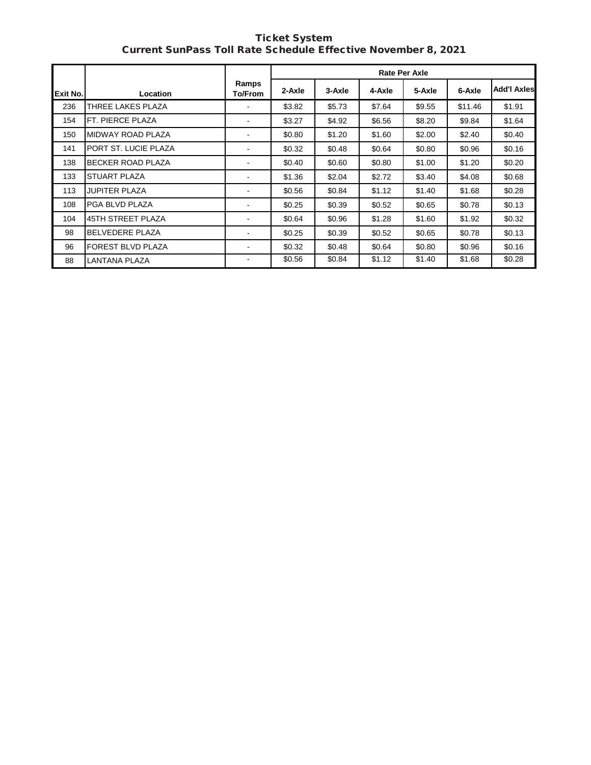Ticket System Current SunPass Toll Rate Schedule Effective November 8, 2021 **Current Sun-Current System** 

 $\mathbf{r}$ 

|          |                          |                              | <b>Rate Per Axle</b> |        |        |        |         |                    |  |  |  |
|----------|--------------------------|------------------------------|----------------------|--------|--------|--------|---------|--------------------|--|--|--|
| Exit No. | Location                 | Ramps<br>To/From             | 2-Axle               | 3-Axle | 4-Axle | 5-Axle | 6-Axle  | <b>Add'I Axles</b> |  |  |  |
| 236      | THREE LAKES PLAZA        | ۰                            | \$3.82               | \$5.73 | \$7.64 | \$9.55 | \$11.46 | \$1.91             |  |  |  |
| 154      | FT. PIERCE PLAZA         | $\overline{\phantom{a}}$     | \$3.27               | \$4.92 | \$6.56 | \$8.20 | \$9.84  | \$1.64             |  |  |  |
| 150      | MIDWAY ROAD PLAZA        |                              | \$0.80               | \$1.20 | \$1.60 | \$2.00 | \$2.40  | \$0.40             |  |  |  |
| 141      | PORT ST. LUCIE PLAZA     | ٠                            | \$0.32               | \$0.48 | \$0.64 | \$0.80 | \$0.96  | \$0.16             |  |  |  |
| 138      | <b>BECKER ROAD PLAZA</b> | $\qquad \qquad \blacksquare$ | \$0.40               | \$0.60 | \$0.80 | \$1.00 | \$1.20  | \$0.20             |  |  |  |
| 133      | <b>STUART PLAZA</b>      | ٠                            | \$1.36               | \$2.04 | \$2.72 | \$3.40 | \$4.08  | \$0.68             |  |  |  |
| 113      | <b>JUPITER PLAZA</b>     | $\sim$                       | \$0.56               | \$0.84 | \$1.12 | \$1.40 | \$1.68  | \$0.28             |  |  |  |
| 108      | PGA BLVD PLAZA           | $\overline{\phantom{a}}$     | \$0.25               | \$0.39 | \$0.52 | \$0.65 | \$0.78  | \$0.13             |  |  |  |
| 104      | <b>45TH STREET PLAZA</b> |                              | \$0.64               | \$0.96 | \$1.28 | \$1.60 | \$1.92  | \$0.32             |  |  |  |
| 98       | <b>BELVEDERE PLAZA</b>   | $\blacksquare$               | \$0.25               | \$0.39 | \$0.52 | \$0.65 | \$0.78  | \$0.13             |  |  |  |
| 96       | <b>FOREST BLVD PLAZA</b> | ۰                            | \$0.32               | \$0.48 | \$0.64 | \$0.80 | \$0.96  | \$0.16             |  |  |  |
| 88       | <b>LANTANA PLAZA</b>     | $\qquad \qquad \blacksquare$ | \$0.56               | \$0.84 | \$1.12 | \$1.40 | \$1.68  | \$0.28             |  |  |  |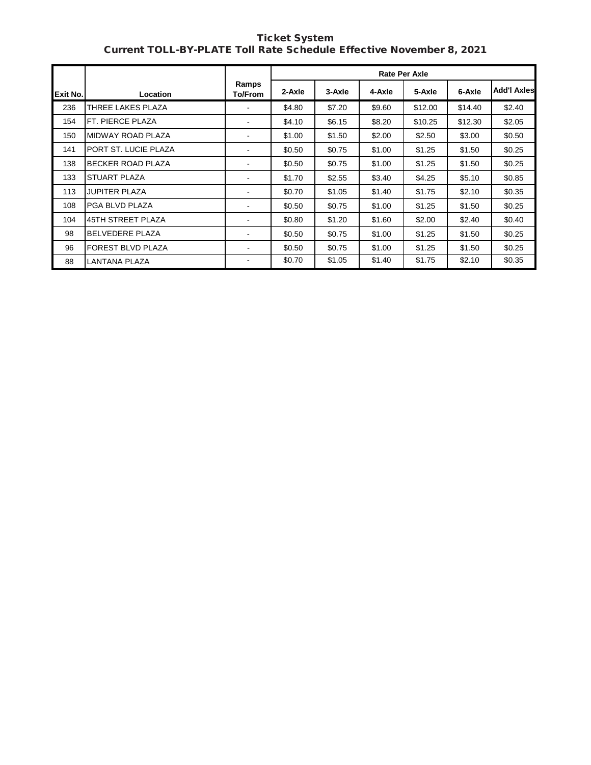| <b>Ticket System</b>                                                |  |
|---------------------------------------------------------------------|--|
| Current TOLL-BY-PLATE Toll Rate Schedule Effective November 8, 2021 |  |

|          |                          |                              | <b>Rate Per Axle</b> |        |        |         |         |                    |  |  |
|----------|--------------------------|------------------------------|----------------------|--------|--------|---------|---------|--------------------|--|--|
| Exit No. | Location                 | Ramps<br>To/From             | 2-Axle               | 3-Axle | 4-Axle | 5-Axle  | 6-Axle  | <b>Add'I Axles</b> |  |  |
| 236      | THREE LAKES PLAZA        | $\overline{\phantom{a}}$     | \$4.80               | \$7.20 | \$9.60 | \$12.00 | \$14.40 | \$2.40             |  |  |
| 154      | FT. PIERCE PLAZA         | $\blacksquare$               | \$4.10               | \$6.15 | \$8.20 | \$10.25 | \$12.30 | \$2.05             |  |  |
| 150      | MIDWAY ROAD PLAZA        | $\blacksquare$               | \$1.00               | \$1.50 | \$2.00 | \$2.50  | \$3.00  | \$0.50             |  |  |
| 141      | PORT ST. LUCIE PLAZA     | $\overline{\phantom{a}}$     | \$0.50               | \$0.75 | \$1.00 | \$1.25  | \$1.50  | \$0.25             |  |  |
| 138      | <b>BECKER ROAD PLAZA</b> | $\qquad \qquad \blacksquare$ | \$0.50               | \$0.75 | \$1.00 | \$1.25  | \$1.50  | \$0.25             |  |  |
| 133      | <b>STUART PLAZA</b>      | $\blacksquare$               | \$1.70               | \$2.55 | \$3.40 | \$4.25  | \$5.10  | \$0.85             |  |  |
| 113      | <b>JUPITER PLAZA</b>     | ۰                            | \$0.70               | \$1.05 | \$1.40 | \$1.75  | \$2.10  | \$0.35             |  |  |
| 108      | PGA BLVD PLAZA           | $\sim$                       | \$0.50               | \$0.75 | \$1.00 | \$1.25  | \$1.50  | \$0.25             |  |  |
| 104      | <b>45TH STREET PLAZA</b> | $\overline{\phantom{a}}$     | \$0.80               | \$1.20 | \$1.60 | \$2.00  | \$2.40  | \$0.40             |  |  |
| 98       | <b>BELVEDERE PLAZA</b>   | ۰                            | \$0.50               | \$0.75 | \$1.00 | \$1.25  | \$1.50  | \$0.25             |  |  |
| 96       | <b>FOREST BLVD PLAZA</b> | ۰                            | \$0.50               | \$0.75 | \$1.00 | \$1.25  | \$1.50  | \$0.25             |  |  |
| 88       | LANTANA PLAZA            | ۰                            | \$0.70               | \$1.05 | \$1.40 | \$1.75  | \$2.10  | \$0.35             |  |  |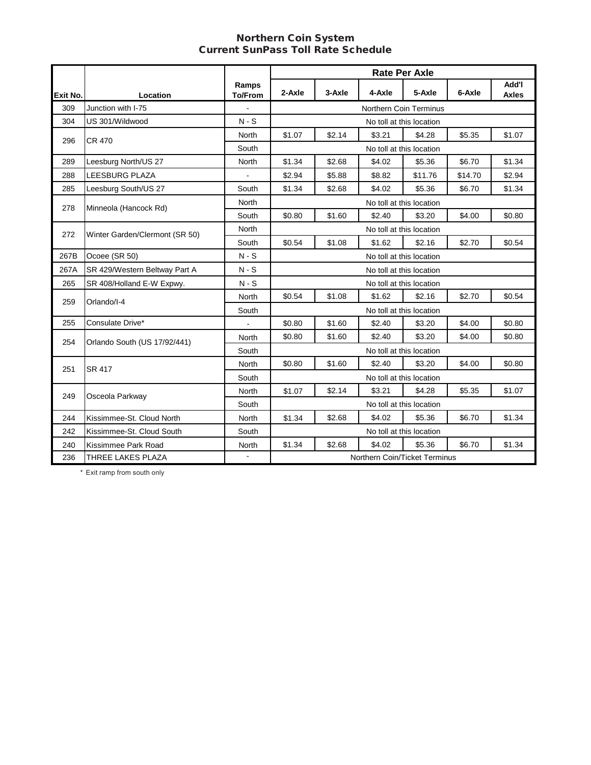#### Northern Coin System Current SunPass Toll Rate Schedule

|          |                                |                         |                                                          |        |                               | <b>Rate Per Axle</b>     |         |                       |
|----------|--------------------------------|-------------------------|----------------------------------------------------------|--------|-------------------------------|--------------------------|---------|-----------------------|
| Exit No. | Location                       | Ramps<br><b>To/From</b> | 2-Axle                                                   | 3-Axle | 4-Axle                        | 5-Axle                   | 6-Axle  | Add'l<br><b>Axles</b> |
| 309      | Junction with I-75             |                         | Northern Coin Terminus                                   |        |                               |                          |         |                       |
| 304      | US 301/Wildwood                | $N-S$                   |                                                          |        |                               | No toll at this location |         |                       |
| 296      | CR 470                         | North                   | \$1.07                                                   | \$2.14 | \$3.21                        | \$4.28                   | \$5.35  | \$1.07                |
|          |                                | South                   |                                                          |        |                               | No toll at this location |         |                       |
| 289      | Leesburg North/US 27           | <b>North</b>            | \$1.34                                                   | \$2.68 | \$4.02                        | \$5.36                   | \$6.70  | \$1.34                |
| 288      | LEESBURG PLAZA                 |                         | \$2.94                                                   | \$5.88 | \$8.82                        | \$11.76                  | \$14.70 | \$2.94                |
| 285      | Leesburg South/US 27           | South                   | \$1.34                                                   | \$2.68 | \$4.02                        | \$5.36                   | \$6.70  | \$1.34                |
| 278      | Minneola (Hancock Rd)          | North                   |                                                          |        |                               | No toll at this location |         |                       |
|          |                                | South                   | \$0.80                                                   | \$1.60 | \$2.40                        | \$3.20                   | \$4.00  | \$0.80                |
| 272      | Winter Garden/Clermont (SR 50) | North                   |                                                          |        |                               | No toll at this location |         |                       |
|          |                                | South                   | \$0.54                                                   | \$1.08 | \$1.62                        | \$2.16                   | \$2.70  | \$0.54                |
| 267B     | Ocoee (SR 50)                  | $N-S$                   |                                                          |        |                               | No toll at this location |         |                       |
| 267A     | SR 429/Western Beltway Part A  | $N-S$                   |                                                          |        |                               | No toll at this location |         |                       |
| 265      | SR 408/Holland E-W Expwy.      | $N-S$                   |                                                          |        |                               | No toll at this location |         |                       |
| 259      | Orlando/I-4                    | <b>North</b>            | \$0.54                                                   | \$1.08 | \$1.62                        | \$2.16                   | \$2.70  | \$0.54                |
|          |                                | South                   |                                                          |        |                               | No toll at this location |         |                       |
| 255      | Consulate Drive*               |                         | \$0.80                                                   | \$1.60 | \$2.40                        | \$3.20                   | \$4.00  | \$0.80                |
| 254      | Orlando South (US 17/92/441)   | North                   | \$0.80                                                   | \$1.60 | \$2.40                        | \$3.20                   | \$4.00  | \$0.80                |
|          |                                | South                   |                                                          |        |                               | No toll at this location |         |                       |
| 251      | <b>SR 417</b>                  | <b>North</b>            | \$0.80                                                   | \$1.60 | \$2.40                        | \$3.20                   | \$4.00  | \$0.80                |
|          |                                | South                   |                                                          |        |                               | No toll at this location |         |                       |
| 249      | Osceola Parkway                | North                   | \$1.07                                                   | \$2.14 | \$3.21                        | \$4.28                   | \$5.35  | \$1.07                |
|          |                                | South                   | No toll at this location                                 |        |                               |                          |         |                       |
| 244      | Kissimmee-St. Cloud North      | North                   | \$1.34                                                   | \$2.68 | \$4.02                        | \$5.36                   | \$6.70  | \$1.34                |
| 242      | Kissimmee-St. Cloud South      | South                   | No toll at this location                                 |        |                               |                          |         |                       |
| 240      | Kissimmee Park Road            | North                   | \$4.02<br>\$1.34<br>\$2.68<br>\$5.36<br>\$6.70<br>\$1.34 |        |                               |                          |         |                       |
| 236      | THREE LAKES PLAZA              |                         |                                                          |        | Northern Coin/Ticket Terminus |                          |         |                       |

\* Exit ramp from south only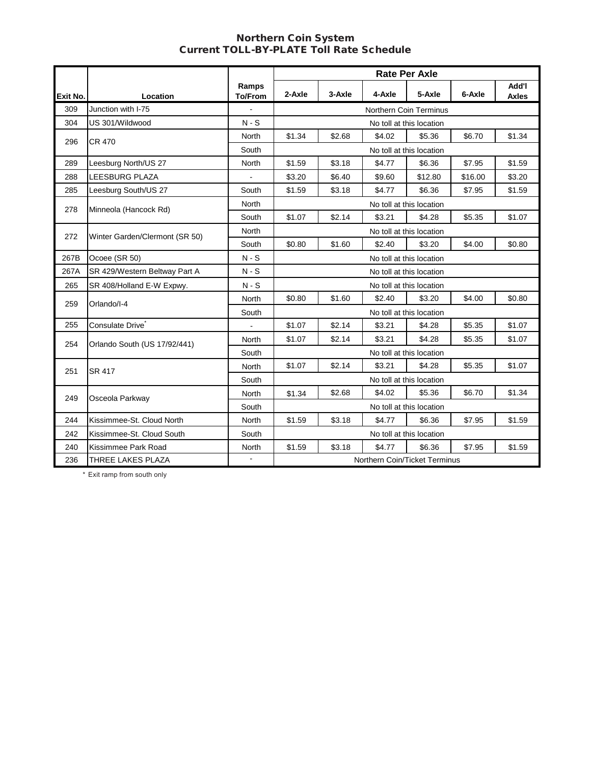#### Northern Coin System Current TOLL-BY-PLATE Toll Rate Schedule

|          |                                |                         |                          |        |                               | <b>Rate Per Axle</b>     |         |                       |
|----------|--------------------------------|-------------------------|--------------------------|--------|-------------------------------|--------------------------|---------|-----------------------|
| Exit No. | Location                       | Ramps<br><b>To/From</b> | 2-Axle                   | 3-Axle | 4-Axle                        | 5-Axle                   | 6-Axle  | Add'l<br><b>Axles</b> |
| 309      | Junction with I-75             | ÷,                      |                          |        |                               | Northern Coin Terminus   |         |                       |
| 304      | US 301/Wildwood                | $N-S$                   |                          |        |                               | No toll at this location |         |                       |
| 296      | <b>CR 470</b>                  | North                   | \$1.34                   | \$2.68 | \$4.02                        | \$5.36                   | \$6.70  | \$1.34                |
|          |                                | South                   |                          |        |                               | No toll at this location |         |                       |
| 289      | Leesburg North/US 27           | North                   | \$1.59                   | \$3.18 | \$4.77                        | \$6.36                   | \$7.95  | \$1.59                |
| 288      | <b>LEESBURG PLAZA</b>          |                         | \$3.20                   | \$6.40 | \$9.60                        | \$12.80                  | \$16.00 | \$3.20                |
| 285      | Leesburg South/US 27           | South                   | \$1.59                   | \$3.18 | \$4.77                        | \$6.36                   | \$7.95  | \$1.59                |
| 278      | Minneola (Hancock Rd)          | <b>North</b>            | No toll at this location |        |                               |                          |         |                       |
|          |                                | South                   | \$1.07                   | \$2.14 | \$3.21                        | \$4.28                   | \$5.35  | \$1.07                |
| 272      | Winter Garden/Clermont (SR 50) | <b>North</b>            |                          |        |                               | No toll at this location |         |                       |
|          |                                | South                   | \$0.80                   | \$1.60 | \$2.40                        | \$3.20                   | \$4.00  | \$0.80                |
| 267B     | Ocoee (SR 50)                  | $N-S$                   |                          |        | No toll at this location      |                          |         |                       |
| 267A     | SR 429/Western Beltway Part A  | $N-S$                   |                          |        |                               | No toll at this location |         |                       |
| 265      | SR 408/Holland E-W Expwy.      | $N-S$                   |                          |        |                               | No toll at this location |         |                       |
| 259      | Orlando/I-4                    | North                   | \$0.80                   | \$1.60 | \$2.40                        | \$3.20                   | \$4.00  | \$0.80                |
|          |                                | South                   |                          |        |                               | No toll at this location |         |                       |
| 255      | Consulate Drive <sup>*</sup>   | $\blacksquare$          | \$1.07                   | \$2.14 | \$3.21                        | \$4.28                   | \$5.35  | \$1.07                |
| 254      | Orlando South (US 17/92/441)   | North                   | \$1.07                   | \$2.14 | \$3.21                        | \$4.28                   | \$5.35  | \$1.07                |
|          |                                | South                   |                          |        |                               | No toll at this location |         |                       |
| 251      | SR 417                         | North                   | \$1.07                   | \$2.14 | \$3.21                        | \$4.28                   | \$5.35  | \$1.07                |
|          |                                | South                   |                          |        | No toll at this location      |                          |         |                       |
| 249      | Osceola Parkway                | North                   | \$1.34                   | \$2.68 | \$4.02                        | \$5.36                   | \$6.70  | \$1.34                |
|          |                                | South                   | No toll at this location |        |                               |                          |         |                       |
| 244      | Kissimmee-St. Cloud North      | North                   | \$1.59                   | \$3.18 | \$4.77                        | \$6.36                   | \$7.95  | \$1.59                |
| 242      | Kissimmee-St. Cloud South      | South                   | No toll at this location |        |                               |                          |         |                       |
| 240      | Kissimmee Park Road            | North                   | \$1.59                   | \$3.18 | \$4.77                        | \$6.36                   | \$7.95  | \$1.59                |
| 236      | THREE LAKES PLAZA              |                         |                          |        | Northern Coin/Ticket Terminus |                          |         |                       |

\* Exit ramp from south only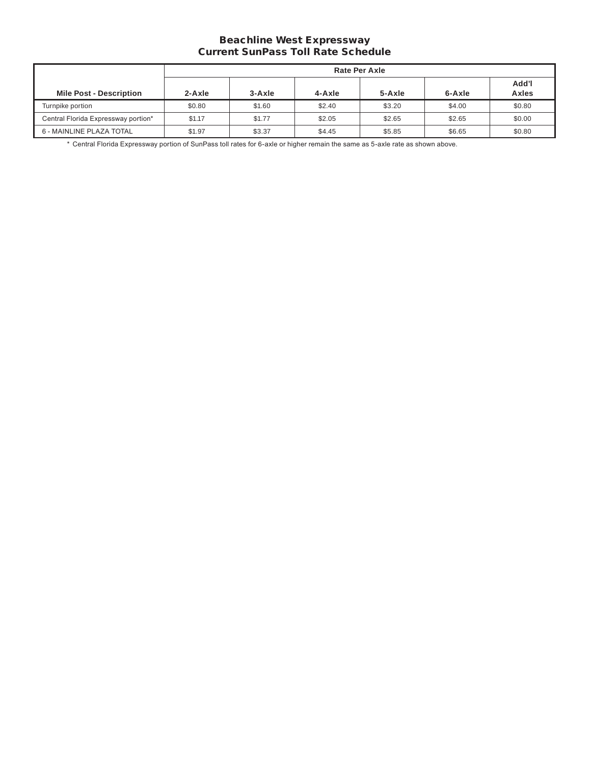## Beachline West Expressway Current SunPass Toll Rate Schedule

| Rate Per Axle                       |        |        |        |        |        |                       |  |  |
|-------------------------------------|--------|--------|--------|--------|--------|-----------------------|--|--|
| <b>Mile Post - Description</b>      | 2-Axle | 3-Axle | 4-Axle | 5-Axle | 6-Axle | Add'l<br><b>Axles</b> |  |  |
| Turnpike portion                    | \$0.80 | \$1.60 | \$2.40 | \$3.20 | \$4.00 | \$0.80                |  |  |
| Central Florida Expressway portion* | \$1.17 | \$1.77 | \$2.05 | \$2.65 | \$2.65 | \$0.00                |  |  |
| 6 - MAINLINE PLAZA TOTAL            | \$1.97 | \$3.37 | \$4.45 | \$5.85 | \$6.65 | \$0.80                |  |  |

 \* Central Florida Expressway portion of SunPass toll rates for 6-axle or higher remain the same as 5-axle rate as shown above.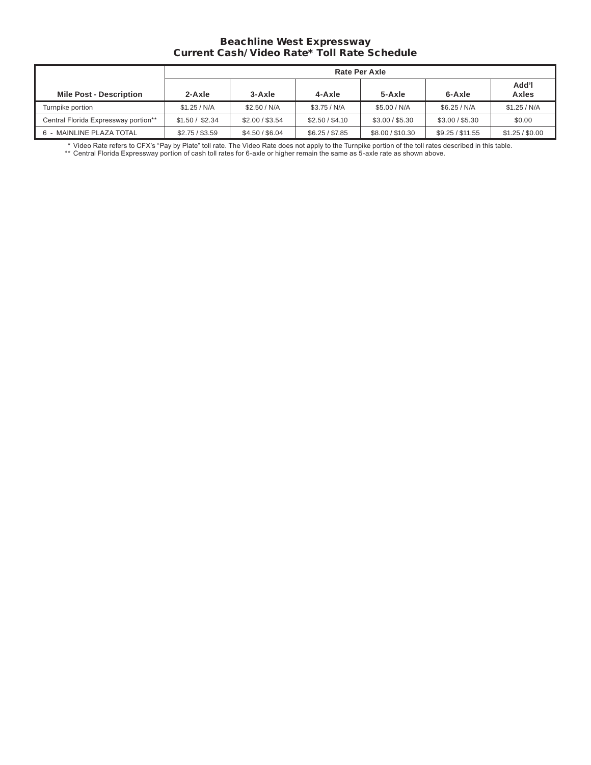#### Beachline West Expressway Current Cash/ Video Rate\* Toll Rate Schedule

|                                      |                 | <b>Rate Per Axle</b> |                 |                  |                  |                 |  |  |  |  |  |
|--------------------------------------|-----------------|----------------------|-----------------|------------------|------------------|-----------------|--|--|--|--|--|
| <b>Mile Post - Description</b>       | $2-Axle$        | $3 - Ax$ le          | 4-Axle          | 5-Axle           | 6-Axle           | Add'l<br>Axles  |  |  |  |  |  |
| Turnpike portion                     | \$1.25/N/A      | \$2.50/N/A           | \$3.75/N/A      | \$5.00 / N/A     | \$6.25/N/A       | \$1.25/N/A      |  |  |  |  |  |
| Central Florida Expressway portion** | \$1.50 / \$2.34 | \$2.00 / \$3.54      | \$2.50 / \$4.10 | \$3.00 / \$5.30  | \$3.00 / \$5.30  | \$0.00          |  |  |  |  |  |
| 6 - MAINLINE PLAZA TOTAL             | \$2.75 / \$3.59 | \$4.50 / \$6.04      | \$6.25 / \$7.85 | \$8.00 / \$10.30 | \$9.25 / \$11.55 | \$1.25 / \$0.00 |  |  |  |  |  |

 \* Video Rate refers to CFX's "Pay by Plate" toll rate. The Video Rate does not apply to the Turnpike portion of the toll rates described in this table.

 \*\* Central Florida Expressway portion of cash toll rates for 6-axle or higher remain the same as 5-axle rate as shown above.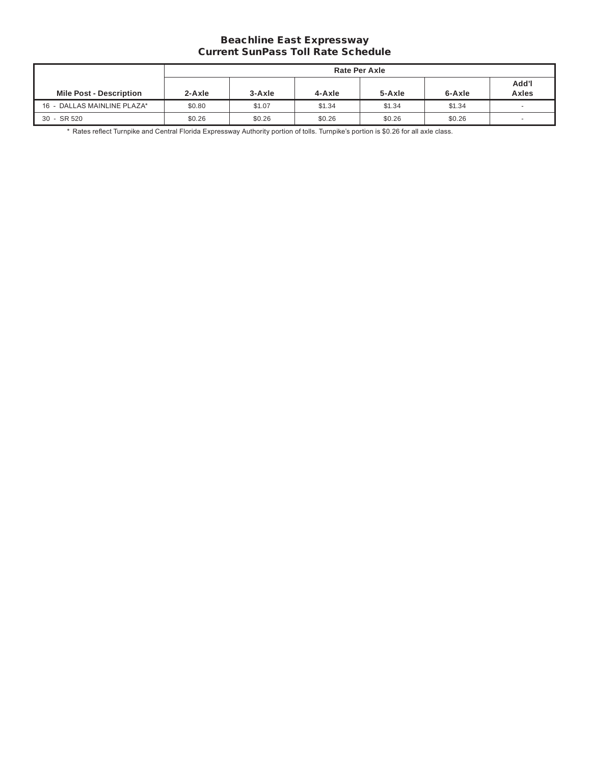## Beachline East Expressway Current SunPass Toll Rate Schedule

|                                |        | Rate Per Axle |        |        |        |                          |  |  |  |  |
|--------------------------------|--------|---------------|--------|--------|--------|--------------------------|--|--|--|--|
| <b>Mile Post - Description</b> | 2-Axle | 3-Axle        | 4-Axle | 5-Axle | 6-Axle | Add'l<br>Axles           |  |  |  |  |
| 16 - DALLAS MAINLINE PLAZA*    | \$0.80 | \$1.07        | \$1.34 | \$1.34 | \$1.34 | $\overline{\phantom{a}}$ |  |  |  |  |
| 30 - SR 520                    | \$0.26 | \$0.26        | \$0.26 | \$0.26 | \$0.26 | -                        |  |  |  |  |

\* Rates reflect Turnpike and Central Florida Expressway Authority portion of tolls. Turnpike's portion is \$0.26 for all axle class.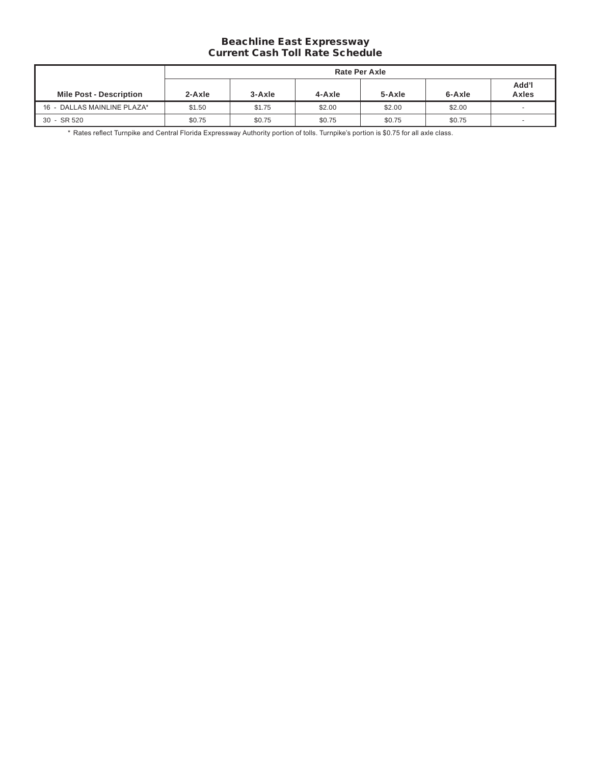## Beachline East Expressway Current Cash Toll Rate Schedule

|                                | Rate Per Axle |        |        |        |        |                |  |  |  |
|--------------------------------|---------------|--------|--------|--------|--------|----------------|--|--|--|
| <b>Mile Post - Description</b> | $2 - Ax$ le   | 3-Axle | 4-Axle | 5-Axle | 6-Axle | Add'l<br>Axles |  |  |  |
| 16 - DALLAS MAINLINE PLAZA*    | \$1.50        | \$1.75 | \$2.00 | \$2.00 | \$2.00 |                |  |  |  |
| 30 - SR 520                    | \$0.75        | \$0.75 | \$0.75 | \$0.75 | \$0.75 | -              |  |  |  |

\* Rates reflect Turnpike and Central Florida Expressway Authority portion of tolls. Turnpike's portion is \$0.75 for all axle class.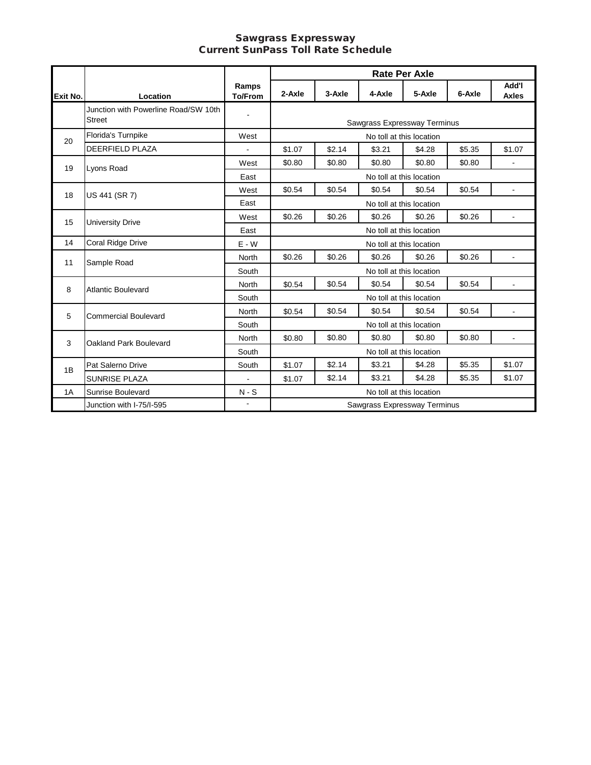#### Sawgrass Expressway Current SunPass Toll Rate Schedule

|                 |                                                       |                         |                          | <b>Rate Per Axle</b> |                              |                          |        |                       |  |
|-----------------|-------------------------------------------------------|-------------------------|--------------------------|----------------------|------------------------------|--------------------------|--------|-----------------------|--|
| <b>Exit No.</b> | Location                                              | Ramps<br><b>To/From</b> | 2-Axle                   | 3-Axle               | 4-Axle                       | 5-Axle                   | 6-Axle | Add'l<br><b>Axles</b> |  |
|                 | Junction with Powerline Road/SW 10th<br><b>Street</b> | $\blacksquare$          |                          |                      | Sawgrass Expressway Terminus |                          |        |                       |  |
| 20              | Florida's Turnpike                                    | West                    |                          |                      |                              | No toll at this location |        |                       |  |
|                 | <b>DEERFIELD PLAZA</b>                                |                         | \$1.07                   | \$2.14               | \$3.21                       | \$4.28                   | \$5.35 | \$1.07                |  |
| 19              | Lyons Road                                            | West                    | \$0.80                   | \$0.80               | \$0.80                       | \$0.80                   | \$0.80 |                       |  |
|                 |                                                       | East                    | No toll at this location |                      |                              |                          |        |                       |  |
| 18              | US 441 (SR 7)                                         | West                    | \$0.54                   | \$0.54               | \$0.54                       | \$0.54                   | \$0.54 |                       |  |
|                 |                                                       | East                    | No toll at this location |                      |                              |                          |        |                       |  |
| 15              | <b>University Drive</b>                               | West                    | \$0.26                   | \$0.26               | \$0.26                       | \$0.26                   | \$0.26 | $\blacksquare$        |  |
|                 |                                                       | East                    |                          |                      |                              | No toll at this location |        |                       |  |
| 14              | Coral Ridge Drive                                     | $E - W$                 |                          |                      |                              | No toll at this location |        |                       |  |
| 11              | Sample Road                                           | <b>North</b>            | \$0.26                   | \$0.26               | \$0.26                       | \$0.26                   | \$0.26 |                       |  |
|                 |                                                       | South                   |                          |                      | No toll at this location     |                          |        |                       |  |
| 8               | <b>Atlantic Boulevard</b>                             | North                   | \$0.54                   | \$0.54               | \$0.54                       | \$0.54                   | \$0.54 |                       |  |
|                 |                                                       | South                   |                          |                      |                              | No toll at this location |        |                       |  |
| 5               | <b>Commercial Boulevard</b>                           | North                   | \$0.54                   | \$0.54               | \$0.54                       | \$0.54                   | \$0.54 |                       |  |
|                 |                                                       | South                   |                          |                      |                              | No toll at this location |        |                       |  |
| 3               | Oakland Park Boulevard                                | <b>North</b>            | \$0.80                   | \$0.80               | \$0.80                       | \$0.80                   | \$0.80 |                       |  |
|                 |                                                       | South                   | No toll at this location |                      |                              |                          |        |                       |  |
| 1B              | Pat Salerno Drive                                     | South                   | \$1.07                   | \$2.14               | \$3.21                       | \$4.28                   | \$5.35 | \$1.07                |  |
|                 | <b>SUNRISE PLAZA</b>                                  | $\blacksquare$          | \$1.07                   | \$2.14               | \$3.21                       | \$4.28                   | \$5.35 | \$1.07                |  |
| 1A              | Sunrise Boulevard                                     | $N-S$                   |                          |                      |                              | No toll at this location |        |                       |  |
|                 | Junction with I-75/I-595                              |                         |                          |                      | Sawgrass Expressway Terminus |                          |        |                       |  |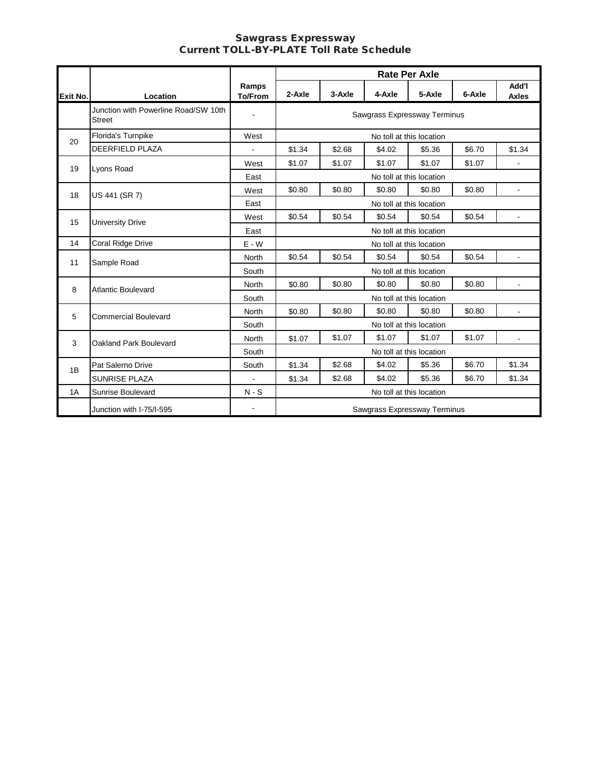#### Sawgrass Expressway Current TOLL-BY-PLATE Toll Rate Schedule

|          |                                                       |                         |                          |        |                              | <b>Rate Per Axle</b>     |        |                              |
|----------|-------------------------------------------------------|-------------------------|--------------------------|--------|------------------------------|--------------------------|--------|------------------------------|
| Exit No. | Location                                              | Ramps<br><b>To/From</b> | 2-Axle                   | 3-Axle | 4-Axle                       | 5-Axle                   | 6-Axle | <b>Add'l</b><br><b>Axles</b> |
|          | Junction with Powerline Road/SW 10th<br><b>Street</b> |                         |                          |        | Sawgrass Expressway Terminus |                          |        |                              |
| 20       | Florida's Turnpike                                    | West                    |                          |        |                              | No toll at this location |        |                              |
|          | <b>DEERFIELD PLAZA</b>                                |                         | \$1.34                   | \$2.68 | \$4.02                       | \$5.36                   | \$6.70 | \$1.34                       |
| 19       | Lyons Road                                            | West                    | \$1.07                   | \$1.07 | \$1.07                       | \$1.07                   | \$1.07 |                              |
|          |                                                       | East                    | No toll at this location |        |                              |                          |        |                              |
| 18       | US 441 (SR 7)                                         | West                    | \$0.80                   | \$0.80 | \$0.80                       | \$0.80                   | \$0.80 | $\blacksquare$               |
|          |                                                       | East                    | No toll at this location |        |                              |                          |        |                              |
| 15       | University Drive                                      | West                    | \$0.54                   | \$0.54 | \$0.54                       | \$0.54                   | \$0.54 | $\blacksquare$               |
|          |                                                       | East                    |                          |        |                              | No toll at this location |        |                              |
| 14       | Coral Ridge Drive                                     | $E - W$                 |                          |        |                              | No toll at this location |        |                              |
| 11       | Sample Road                                           | <b>North</b>            | \$0.54                   | \$0.54 | \$0.54                       | \$0.54                   | \$0.54 | $\overline{a}$               |
|          |                                                       | South                   |                          |        |                              | No toll at this location |        |                              |
| 8        | <b>Atlantic Boulevard</b>                             | <b>North</b>            | \$0.80                   | \$0.80 | \$0.80                       | \$0.80                   | \$0.80 | $\omega$                     |
|          |                                                       | South                   |                          |        |                              | No toll at this location |        |                              |
| 5        | <b>Commercial Boulevard</b>                           | <b>North</b>            | \$0.80                   | \$0.80 | \$0.80                       | \$0.80                   | \$0.80 | ٠                            |
|          |                                                       | South                   |                          |        |                              | No toll at this location |        |                              |
| 3        | Oakland Park Boulevard                                | <b>North</b>            | \$1.07                   | \$1.07 | \$1.07                       | \$1.07                   | \$1.07 |                              |
|          |                                                       | South                   | No toll at this location |        |                              |                          |        |                              |
| 1B       | Pat Salerno Drive                                     | South                   | \$1.34                   | \$2.68 | \$4.02                       | \$5.36                   | \$6.70 | \$1.34                       |
|          | <b>SUNRISE PLAZA</b>                                  |                         | \$1.34                   | \$2.68 | \$4.02                       | \$5.36                   | \$6.70 | \$1.34                       |
| 1A       | <b>Sunrise Boulevard</b>                              | $N-S$                   | No toll at this location |        |                              |                          |        |                              |
|          | Junction with I-75/I-595                              | $\blacksquare$          |                          |        | Sawgrass Expressway Terminus |                          |        |                              |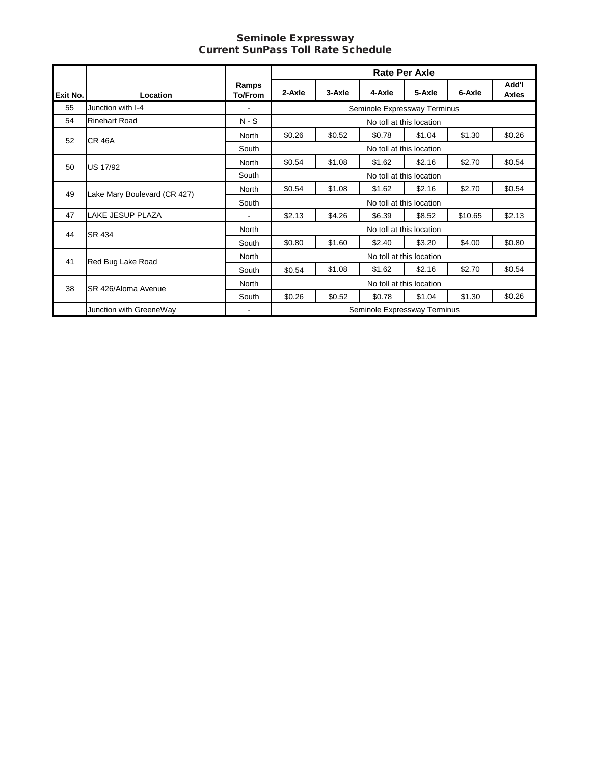#### Seminole Expressway Current SunPass Toll Rate Schedule

|          |                              |                         |                          |        |                              | <b>Rate Per Axle</b>     |         |                       |  |
|----------|------------------------------|-------------------------|--------------------------|--------|------------------------------|--------------------------|---------|-----------------------|--|
| Exit No. | Location                     | Ramps<br><b>To/From</b> | 2-Axle                   | 3-Axle | 4-Axle                       | 5-Axle                   | 6-Axle  | Add'l<br><b>Axles</b> |  |
| 55       | Junction with I-4            |                         |                          |        | Seminole Expressway Terminus |                          |         |                       |  |
| 54       | <b>Rinehart Road</b>         | $N-S$                   |                          |        |                              | No toll at this location |         |                       |  |
| 52       | <b>CR 46A</b>                | North                   | \$0.26                   | \$0.52 | \$0.78                       | \$1.04                   | \$1.30  | \$0.26                |  |
|          |                              | South                   | No toll at this location |        |                              |                          |         |                       |  |
| 50       | US 17/92                     | North                   | \$0.54                   | \$1.08 | \$1.62                       | \$2.16                   | \$2.70  | \$0.54                |  |
|          |                              | South                   | No toll at this location |        |                              |                          |         |                       |  |
| 49       | Lake Mary Boulevard (CR 427) | North                   | \$0.54                   | \$1.08 | \$1.62                       | \$2.16                   | \$2.70  | \$0.54                |  |
|          |                              | South                   |                          |        |                              | No toll at this location |         |                       |  |
| 47       | LAKE JESUP PLAZA             |                         | \$2.13                   | \$4.26 | \$6.39                       | \$8.52                   | \$10.65 | \$2.13                |  |
| 44       | SR 434                       | North                   |                          |        |                              | No toll at this location |         |                       |  |
|          |                              | South                   | \$0.80                   | \$1.60 | \$2.40                       | \$3.20                   | \$4.00  | \$0.80                |  |
| 41       | Red Bug Lake Road            | North                   |                          |        |                              | No toll at this location |         |                       |  |
|          |                              | South                   | \$0.54                   | \$1.08 | \$1.62                       | \$2.16                   | \$2.70  | \$0.54                |  |
| 38       | SR 426/Aloma Avenue          | North                   |                          |        |                              | No toll at this location |         |                       |  |
|          |                              | South                   | \$0.26                   | \$0.52 | \$0.78                       | \$1.04                   | \$1.30  | \$0.26                |  |
|          | Junction with GreeneWay      | $\blacksquare$          |                          |        | Seminole Expressway Terminus |                          |         |                       |  |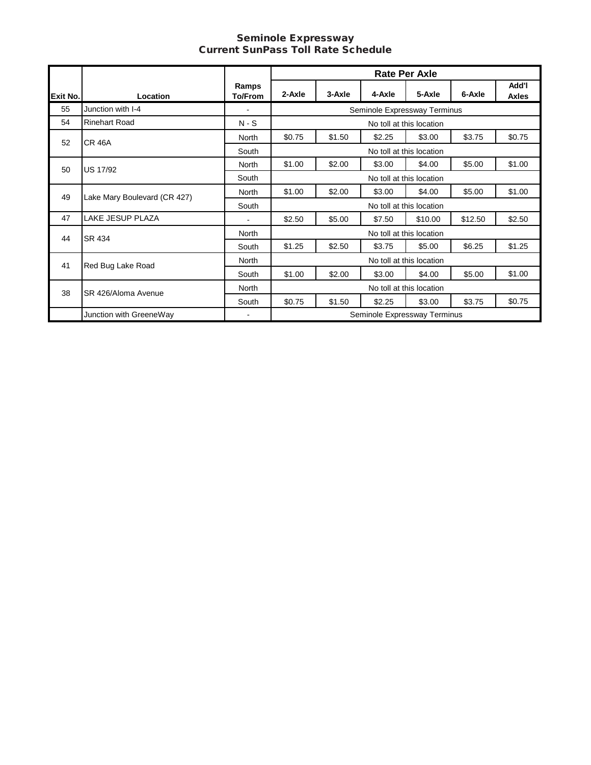#### Seminole Expressway Current SunPass Toll Rate Schedule

|          |                              |                         |                          |        |                              | <b>Rate Per Axle</b>     |         |                       |  |
|----------|------------------------------|-------------------------|--------------------------|--------|------------------------------|--------------------------|---------|-----------------------|--|
| Exit No. | Location                     | Ramps<br><b>To/From</b> | 2-Axle                   | 3-Axle | 4-Axle                       | 5-Axle                   | 6-Axle  | Add'l<br><b>Axles</b> |  |
| 55       | Junction with I-4            |                         |                          |        | Seminole Expressway Terminus |                          |         |                       |  |
| 54       | <b>Rinehart Road</b>         | $N-S$                   |                          |        |                              | No toll at this location |         |                       |  |
| 52       | <b>CR 46A</b>                | <b>North</b>            | \$0.75                   | \$1.50 | \$2.25                       | \$3.00                   | \$3.75  | \$0.75                |  |
|          |                              | South                   |                          |        |                              | No toll at this location |         |                       |  |
| 50       | <b>US 17/92</b>              | North                   | \$1.00                   | \$2.00 | \$3.00                       | \$4.00                   | \$5.00  | \$1.00                |  |
|          |                              | South                   | No toll at this location |        |                              |                          |         |                       |  |
| 49       | Lake Mary Boulevard (CR 427) | North                   | \$1.00                   | \$2.00 | \$3.00                       | \$4.00                   | \$5.00  | \$1.00                |  |
|          |                              | South                   |                          |        |                              | No toll at this location |         |                       |  |
| 47       | LAKE JESUP PLAZA             | $\blacksquare$          | \$2.50                   | \$5.00 | \$7.50                       | \$10.00                  | \$12.50 | \$2.50                |  |
| 44       | SR 434                       | <b>North</b>            |                          |        |                              | No toll at this location |         |                       |  |
|          |                              | South                   | \$1.25                   | \$2.50 | \$3.75                       | \$5.00                   | \$6.25  | \$1.25                |  |
| 41       | Red Bug Lake Road            | North                   |                          |        |                              | No toll at this location |         |                       |  |
|          |                              | South                   | \$1.00                   | \$2.00 | \$3.00                       | \$4.00                   | \$5.00  | \$1.00                |  |
| 38       | SR 426/Aloma Avenue          | North                   |                          |        |                              | No toll at this location |         |                       |  |
|          |                              | South                   | \$0.75                   | \$1.50 | \$2.25                       | \$3.00                   | \$3.75  | \$0.75                |  |
|          | Junction with GreeneWay      | $\blacksquare$          |                          |        | Seminole Expressway Terminus |                          |         |                       |  |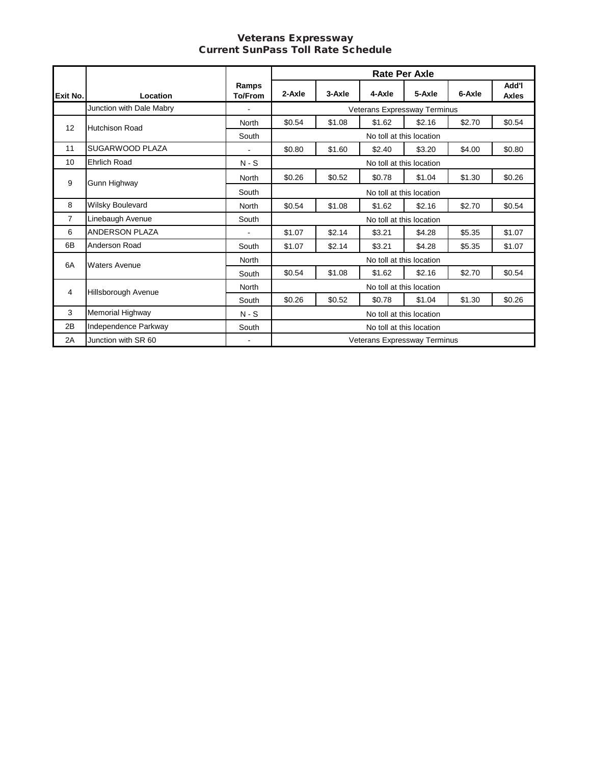#### Veterans Expressway Current SunPass Toll Rate Schedule

|          |                          |                         |                          |        |                              | <b>Rate Per Axle</b> |        |                |
|----------|--------------------------|-------------------------|--------------------------|--------|------------------------------|----------------------|--------|----------------|
| Exit No. | Location                 | Ramps<br><b>To/From</b> | 2-Axle                   | 3-Axle | 4-Axle                       | 5-Axle               | 6-Axle | Add'l<br>Axles |
|          | Junction with Dale Mabry | $\blacksquare$          |                          |        | Veterans Expressway Terminus |                      |        |                |
| 12       | <b>Hutchison Road</b>    | <b>North</b>            | \$0.54                   | \$1.08 | \$1.62                       | \$2.16               | \$2.70 | \$0.54         |
|          |                          | South                   |                          |        | No toll at this location     |                      |        |                |
| 11       | SUGARWOOD PLAZA          |                         | \$0.80                   | \$1.60 | \$2.40                       | \$3.20               | \$4.00 | \$0.80         |
| 10       | <b>Ehrlich Road</b>      | $N-S$                   |                          |        | No toll at this location     |                      |        |                |
| 9        | Gunn Highway             | <b>North</b>            | \$0.26                   | \$0.52 | \$0.78                       | \$1.04               | \$1.30 | \$0.26         |
|          |                          | South                   | No toll at this location |        |                              |                      |        |                |
| 8        | Wilsky Boulevard         | North                   | \$0.54                   | \$1.08 | \$1.62                       | \$2.16               | \$2.70 | \$0.54         |
| 7        | Linebaugh Avenue         | South                   |                          |        | No toll at this location     |                      |        |                |
| 6        | <b>ANDERSON PLAZA</b>    | $\blacksquare$          | \$1.07                   | \$2.14 | \$3.21                       | \$4.28               | \$5.35 | \$1.07         |
| 6B       | Anderson Road            | South                   | \$1.07                   | \$2.14 | \$3.21                       | \$4.28               | \$5.35 | \$1.07         |
| 6A       | <b>Waters Avenue</b>     | North                   |                          |        | No toll at this location     |                      |        |                |
|          |                          | South                   | \$0.54                   | \$1.08 | \$1.62                       | \$2.16               | \$2.70 | \$0.54         |
| 4        | Hillsborough Avenue      | <b>North</b>            |                          |        | No toll at this location     |                      |        |                |
|          |                          | South                   | \$0.26                   | \$0.52 | \$0.78                       | \$1.04               | \$1.30 | \$0.26         |
| 3        | Memorial Highway         | $N-S$                   |                          |        | No toll at this location     |                      |        |                |
| 2B       | Independence Parkway     | South                   | No toll at this location |        |                              |                      |        |                |
| 2A       | Junction with SR 60      | $\blacksquare$          |                          |        | Veterans Expressway Terminus |                      |        |                |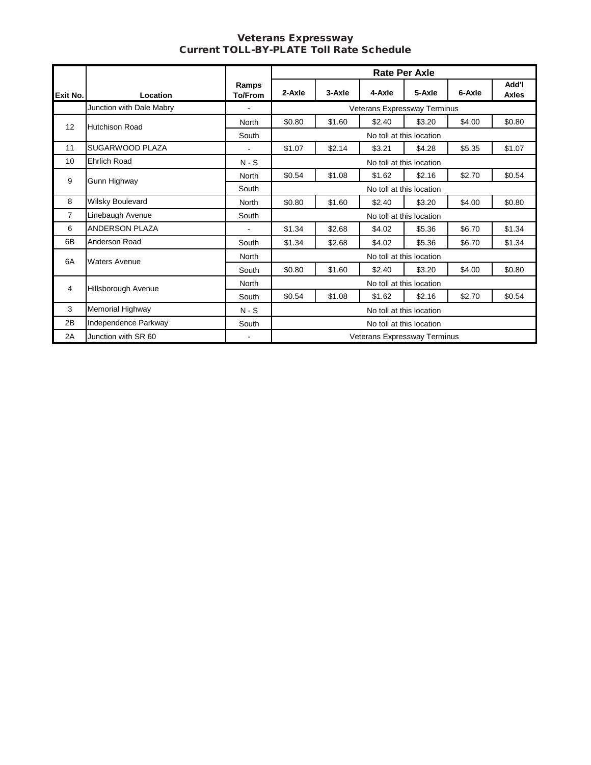#### Veterans Expressway Current TOLL-BY-PLATE Toll Rate Schedule

|                |                          |                          |                          |        |                              | <b>Rate Per Axle</b>     |        |                |
|----------------|--------------------------|--------------------------|--------------------------|--------|------------------------------|--------------------------|--------|----------------|
| Exit No.       | Location                 | Ramps<br><b>To/From</b>  | 2-Axle                   | 3-Axle | 4-Axle                       | 5-Axle                   | 6-Axle | Add'l<br>Axles |
|                | Junction with Dale Mabry |                          |                          |        | Veterans Expressway Terminus |                          |        |                |
| 12             | <b>Hutchison Road</b>    | North                    | \$0.80                   | \$1.60 | \$2.40                       | \$3.20                   | \$4.00 | \$0.80         |
|                |                          | South                    |                          |        |                              | No toll at this location |        |                |
| 11             | SUGARWOOD PLAZA          | $\mathbf{r}$             | \$1.07                   | \$2.14 | \$3.21                       | \$4.28                   | \$5.35 | \$1.07         |
| 10             | <b>Ehrlich Road</b>      | $N-S$                    |                          |        |                              | No toll at this location |        |                |
| 9              | Gunn Highway             | <b>North</b>             | \$0.54                   | \$1.08 | \$1.62                       | \$2.16                   | \$2.70 | \$0.54         |
|                |                          | South                    | No toll at this location |        |                              |                          |        |                |
| 8              | Wilsky Boulevard         | North                    | \$0.80                   | \$1.60 | \$2.40                       | \$3.20                   | \$4.00 | \$0.80         |
| $\overline{7}$ | Linebaugh Avenue         | South                    |                          |        |                              | No toll at this location |        |                |
| 6              | <b>ANDERSON PLAZA</b>    | $\blacksquare$           | \$1.34                   | \$2.68 | \$4.02                       | \$5.36                   | \$6.70 | \$1.34         |
| 6B             | Anderson Road            | South                    | \$1.34                   | \$2.68 | \$4.02                       | \$5.36                   | \$6.70 | \$1.34         |
| 6A             | <b>Waters Avenue</b>     | North                    |                          |        |                              | No toll at this location |        |                |
|                |                          | South                    | \$0.80                   | \$1.60 | \$2.40                       | \$3.20                   | \$4.00 | \$0.80         |
| 4              | Hillsborough Avenue      | North                    |                          |        |                              | No toll at this location |        |                |
|                |                          | South                    | \$0.54                   | \$1.08 | \$1.62                       | \$2.16                   | \$2.70 | \$0.54         |
| 3              | Memorial Highway         | $N-S$                    | No toll at this location |        |                              |                          |        |                |
| 2B             | Independence Parkway     | South                    | No toll at this location |        |                              |                          |        |                |
| 2A             | Junction with SR 60      | $\overline{\phantom{a}}$ |                          |        | Veterans Expressway Terminus |                          |        |                |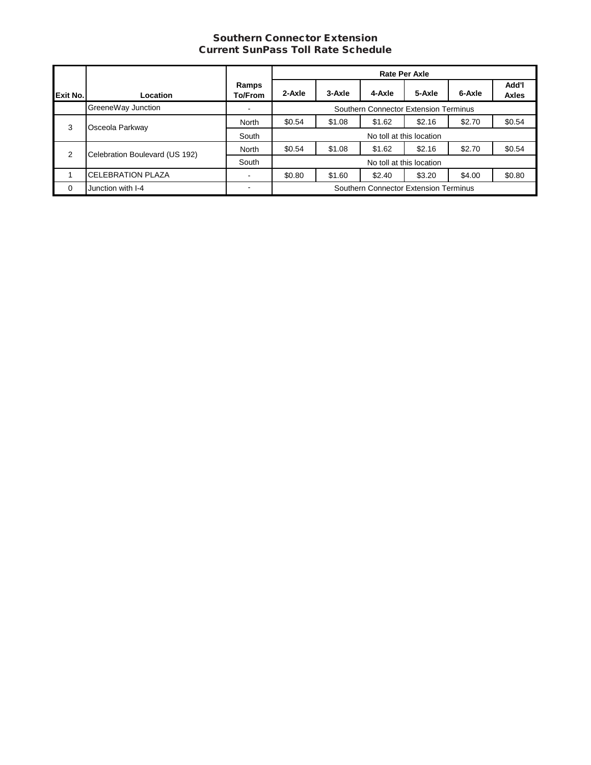#### Southern Connector Extension Current SunPass Toll Rate Schedule

|          |                                |                         |                                       |        |                                       | <b>Rate Per Axle</b>     |        |                       |
|----------|--------------------------------|-------------------------|---------------------------------------|--------|---------------------------------------|--------------------------|--------|-----------------------|
| Exit No. | Location                       | Ramps<br><b>To/From</b> | 2-Axle                                | 3-Axle | 4-Axle                                | 5-Axle                   | 6-Axle | Add'l<br><b>Axles</b> |
|          | GreeneWay Junction             |                         | Southern Connector Extension Terminus |        |                                       |                          |        |                       |
| 3        | Osceola Parkway                | North                   | \$0.54                                | \$1.08 | \$1.62                                | \$2.16                   | \$2.70 | \$0.54                |
|          |                                | South                   |                                       |        |                                       | No toll at this location |        |                       |
| 2        | Celebration Boulevard (US 192) | North                   | \$0.54                                | \$1.08 | \$1.62                                | \$2.16                   | \$2.70 | \$0.54                |
|          |                                | South                   |                                       |        | No toll at this location              |                          |        |                       |
|          | <b>CELEBRATION PLAZA</b>       |                         | \$0.80                                | \$1.60 | \$2.40                                | \$3.20                   | \$4.00 | \$0.80                |
| $\Omega$ | Junction with I-4              |                         |                                       |        | Southern Connector Extension Terminus |                          |        |                       |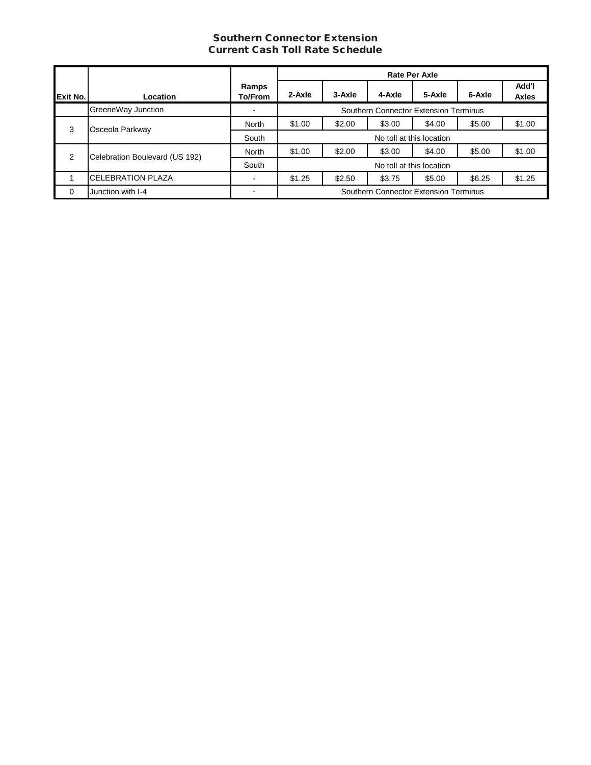## Southern Connector Extension Current Cash Toll Rate Schedule

|          |                                |                  | <b>Rate Per Axle</b>                  |                          |                                       |                          |        |                       |  |
|----------|--------------------------------|------------------|---------------------------------------|--------------------------|---------------------------------------|--------------------------|--------|-----------------------|--|
| Exit No. | Location                       | Ramps<br>To/From | 2-Axle                                | 3-Axle                   | 4-Axle                                | 5-Axle                   | 6-Axle | Add'l<br><b>Axles</b> |  |
|          | GreeneWay Junction             |                  | Southern Connector Extension Terminus |                          |                                       |                          |        |                       |  |
| 3        | Osceola Parkway                | North            | \$1.00                                | \$2.00                   | \$3.00                                | \$4.00                   | \$5.00 | \$1.00                |  |
|          |                                | South            |                                       |                          |                                       | No toll at this location |        |                       |  |
| 2        | Celebration Boulevard (US 192) | North            | \$1.00                                | \$2.00                   | \$3.00                                | \$4.00                   | \$5.00 | \$1.00                |  |
|          |                                | South            |                                       | No toll at this location |                                       |                          |        |                       |  |
|          | <b>CELEBRATION PLAZA</b>       | $\blacksquare$   | \$1.25                                | \$2.50                   | \$3.75                                | \$5.00                   | \$6.25 | \$1.25                |  |
| $\Omega$ | Junction with I-4              |                  |                                       |                          | Southern Connector Extension Terminus |                          |        |                       |  |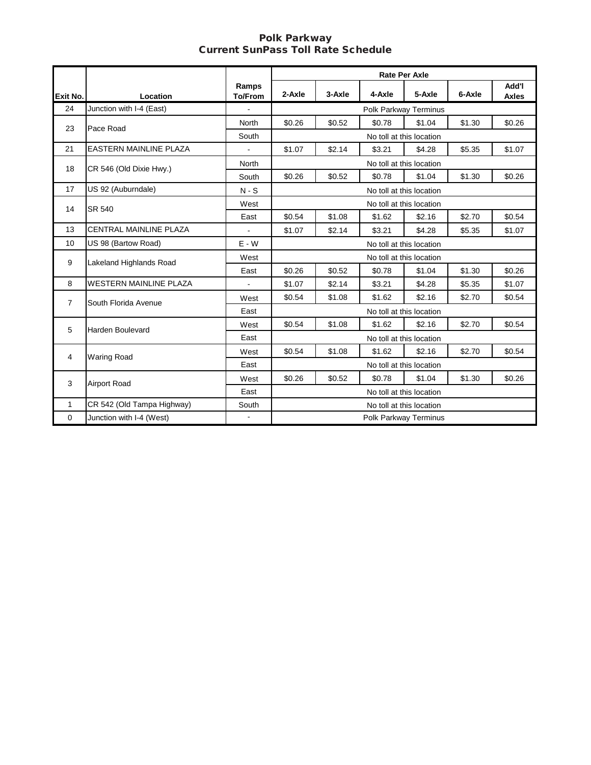#### Polk Parkway Current SunPass Toll Rate Schedule

|                |                               |                         |        |        | <b>Rate Per Axle</b>  |                          |        |                       |
|----------------|-------------------------------|-------------------------|--------|--------|-----------------------|--------------------------|--------|-----------------------|
| Exit No.       | Location                      | Ramps<br><b>To/From</b> | 2-Axle | 3-Axle | 4-Axle                | 5-Axle                   | 6-Axle | Add'l<br><b>Axles</b> |
| 24             | Junction with I-4 (East)      |                         |        |        | Polk Parkway Terminus |                          |        |                       |
| 23             | Pace Road                     | North                   | \$0.26 | \$0.52 | \$0.78                | \$1.04                   | \$1.30 | \$0.26                |
|                |                               | South                   |        |        |                       | No toll at this location |        |                       |
| 21             | <b>EASTERN MAINLINE PLAZA</b> | $\mathbf{r}$            | \$1.07 | \$2.14 | \$3.21                | \$4.28                   | \$5.35 | \$1.07                |
| 18             | CR 546 (Old Dixie Hwy.)       | North                   |        |        |                       | No toll at this location |        |                       |
|                |                               | South                   | \$0.26 | \$0.52 | \$0.78                | \$1.04                   | \$1.30 | \$0.26                |
| 17             | US 92 (Auburndale)            | $N-S$                   |        |        |                       | No toll at this location |        |                       |
| 14             | SR 540                        | West                    |        |        |                       | No toll at this location |        |                       |
|                |                               | East                    | \$0.54 | \$1.08 | \$1.62                | \$2.16                   | \$2.70 | \$0.54                |
| 13             | CENTRAL MAINLINE PLAZA        | $\blacksquare$          | \$1.07 | \$2.14 | \$3.21                | \$4.28                   | \$5.35 | \$1.07                |
| 10             | US 98 (Bartow Road)           | $E - W$                 |        |        |                       | No toll at this location |        |                       |
| 9              | Lakeland Highlands Road       | West                    |        |        |                       | No toll at this location |        |                       |
|                |                               | East                    | \$0.26 | \$0.52 | \$0.78                | \$1.04                   | \$1.30 | \$0.26                |
| 8              | <b>WESTERN MAINLINE PLAZA</b> |                         | \$1.07 | \$2.14 | \$3.21                | \$4.28                   | \$5.35 | \$1.07                |
| $\overline{7}$ | South Florida Avenue          | West                    | \$0.54 | \$1.08 | \$1.62                | \$2.16                   | \$2.70 | \$0.54                |
|                |                               | East                    |        |        |                       | No toll at this location |        |                       |
| 5              | <b>Harden Boulevard</b>       | West                    | \$0.54 | \$1.08 | \$1.62                | \$2.16                   | \$2.70 | \$0.54                |
|                |                               | East                    |        |        |                       | No toll at this location |        |                       |
| 4              | <b>Waring Road</b>            | West                    | \$0.54 | \$1.08 | \$1.62                | \$2.16                   | \$2.70 | \$0.54                |
|                |                               | East                    |        |        |                       | No toll at this location |        |                       |
| 3              | <b>Airport Road</b>           | West                    | \$0.26 | \$0.52 | \$0.78                | \$1.04                   | \$1.30 | \$0.26                |
|                |                               | East                    |        |        |                       | No toll at this location |        |                       |
| 1              | CR 542 (Old Tampa Highway)    | South                   |        |        |                       | No toll at this location |        |                       |
| $\Omega$       | Junction with I-4 (West)      |                         |        |        | Polk Parkway Terminus |                          |        |                       |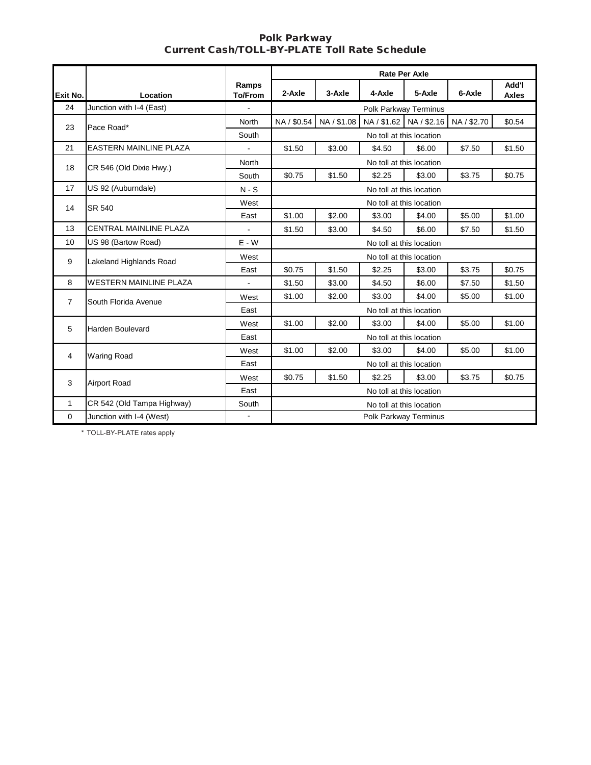#### Polk Parkway Current Cash/TOLL-BY-PLATE Toll Rate Schedule

|                |                               |                         |             |             | <b>Rate Per Axle</b> |                          |                                                          |                       |
|----------------|-------------------------------|-------------------------|-------------|-------------|----------------------|--------------------------|----------------------------------------------------------|-----------------------|
| Exit No.       | Location                      | Ramps<br><b>To/From</b> | 2-Axle      | 3-Axle      | 4-Axle               | 5-Axle                   | 6-Axle                                                   | Add'l<br><b>Axles</b> |
| 24             | Junction with I-4 (East)      |                         |             |             |                      | Polk Parkway Terminus    |                                                          |                       |
| 23             | Pace Road*                    | <b>North</b>            | NA / \$0.54 | NA / \$1.08 |                      | NA / \$1.62 NA / \$2.16  | NA / \$2.70                                              | \$0.54                |
|                |                               | South                   |             |             |                      | No toll at this location |                                                          |                       |
| 21             | <b>EASTERN MAINLINE PLAZA</b> |                         | \$1.50      | \$3.00      | \$4.50               | \$6.00                   | \$7.50                                                   | \$1.50                |
| 18             | CR 546 (Old Dixie Hwy.)       | <b>North</b>            |             |             |                      | No toll at this location |                                                          |                       |
|                |                               | South                   | \$0.75      | \$1.50      | \$2.25               | \$3.00                   | \$3.75                                                   | \$0.75                |
| 17             | US 92 (Auburndale)            | $N-S$                   |             |             |                      | No toll at this location |                                                          |                       |
| 14             | SR 540                        | West                    |             |             |                      | No toll at this location |                                                          |                       |
|                |                               | East                    | \$1.00      | \$2.00      | \$3.00               | \$4.00                   | \$5.00                                                   | \$1.00                |
| 13             | <b>CENTRAL MAINLINE PLAZA</b> |                         | \$1.50      | \$3.00      | \$4.50               | \$6.00                   | \$7.50                                                   | \$1.50                |
| 10             | US 98 (Bartow Road)           | $E - W$                 |             |             |                      | No toll at this location |                                                          |                       |
| 9              | Lakeland Highlands Road       | West                    |             |             |                      | No toll at this location | \$3.75<br>\$7.50<br>\$5.00<br>\$5.00<br>\$5.00<br>\$3.75 |                       |
|                |                               | East                    | \$0.75      | \$1.50      | \$2.25               | \$3.00                   |                                                          | \$0.75                |
| 8              | <b>WESTERN MAINLINE PLAZA</b> |                         | \$1.50      | \$3.00      | \$4.50               | \$6.00                   |                                                          | \$1.50                |
| $\overline{7}$ | South Florida Avenue          | West                    | \$1.00      | \$2.00      | \$3.00               | \$4.00                   |                                                          | \$1.00                |
|                |                               | East                    |             |             |                      | No toll at this location |                                                          |                       |
| 5              | <b>Harden Boulevard</b>       | West                    | \$1.00      | \$2.00      | \$3.00               | \$4.00                   |                                                          | \$1.00                |
|                |                               | East                    |             |             |                      | No toll at this location |                                                          |                       |
| 4              | <b>Waring Road</b>            | West                    | \$1.00      | \$2.00      | \$3.00               | \$4.00                   |                                                          | \$1.00                |
|                |                               | East                    |             |             |                      | No toll at this location |                                                          |                       |
| 3              | Airport Road                  | West                    | \$0.75      | \$1.50      | \$2.25               | \$3.00                   |                                                          | \$0.75                |
|                |                               | East                    |             |             |                      | No toll at this location |                                                          |                       |
| $\mathbf{1}$   | CR 542 (Old Tampa Highway)    | South                   |             |             |                      | No toll at this location |                                                          |                       |
| $\mathbf 0$    | Junction with I-4 (West)      |                         |             |             |                      | Polk Parkway Terminus    |                                                          |                       |

 \* TOLL-BY-PLATE rates apply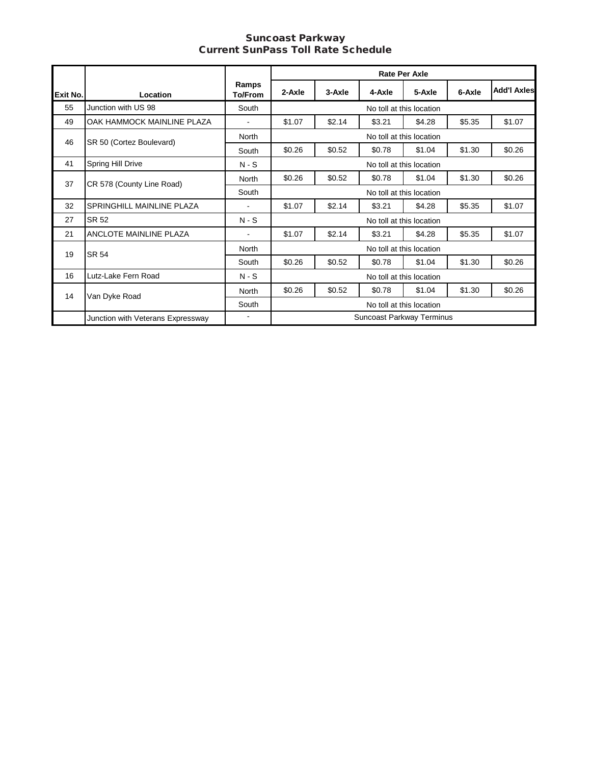#### Suncoast Parkway Current SunPass Toll Rate Schedule **Suncoast Parkway**

|          |                                   |                         |                          |                          | <b>Rate Per Axle</b>      |                          |                                      |                    |  |
|----------|-----------------------------------|-------------------------|--------------------------|--------------------------|---------------------------|--------------------------|--------------------------------------|--------------------|--|
| Exit No. | Location                          | Ramps<br><b>To/From</b> | 2-Axle                   | 3-Axle                   | 4-Axle                    | 5-Axle                   | 6-Axle                               | <b>Add'I Axles</b> |  |
| 55       | Junction with US 98               | South                   |                          |                          |                           | No toll at this location |                                      |                    |  |
| 49       | OAK HAMMOCK MAINLINE PLAZA        |                         | \$1.07                   | \$2.14                   | \$3.21                    | \$4.28                   | \$5.35                               | \$1.07             |  |
| 46       | SR 50 (Cortez Boulevard)          | <b>North</b>            |                          |                          |                           | No toll at this location |                                      |                    |  |
|          |                                   | South                   | \$0.26                   | \$0.52                   | \$0.78                    | \$1.04                   | \$1.30                               | \$0.26             |  |
| 41       | Spring Hill Drive                 | $N-S$                   |                          | No toll at this location |                           |                          |                                      |                    |  |
| 37       | CR 578 (County Line Road)         | North                   | \$0.26                   | \$0.52                   | \$0.78                    | \$1.04                   | \$1.30                               | \$0.26             |  |
|          |                                   | South                   |                          |                          | No toll at this location  |                          | \$5.35<br>\$5.35<br>\$1.30<br>\$1.30 |                    |  |
| 32       | SPRINGHILL MAINLINE PLAZA         | $\blacksquare$          | \$1.07                   | \$2.14                   | \$3.21                    | \$4.28                   |                                      | \$1.07             |  |
| 27       | SR 52                             | $N-S$                   |                          |                          | No toll at this location  |                          |                                      |                    |  |
| 21       | ANCLOTE MAINLINE PLAZA            | $\blacksquare$          | \$1.07                   | \$2.14                   | \$3.21                    | \$4.28                   |                                      | \$1.07             |  |
| 19       | <b>SR 54</b>                      | North                   |                          |                          | No toll at this location  |                          |                                      |                    |  |
|          |                                   | South                   | \$0.26                   | \$0.52                   | \$0.78                    | \$1.04                   |                                      | \$0.26             |  |
| 16       | Lutz-Lake Fern Road               | $N-S$                   |                          |                          | No toll at this location  |                          |                                      |                    |  |
| 14       |                                   | <b>North</b>            | \$0.26                   | \$0.52                   | \$0.78                    | \$1.04                   |                                      | \$0.26             |  |
|          | Van Dyke Road                     | South                   | No toll at this location |                          |                           |                          |                                      |                    |  |
|          | Junction with Veterans Expressway |                         |                          |                          | Suncoast Parkway Terminus |                          |                                      |                    |  |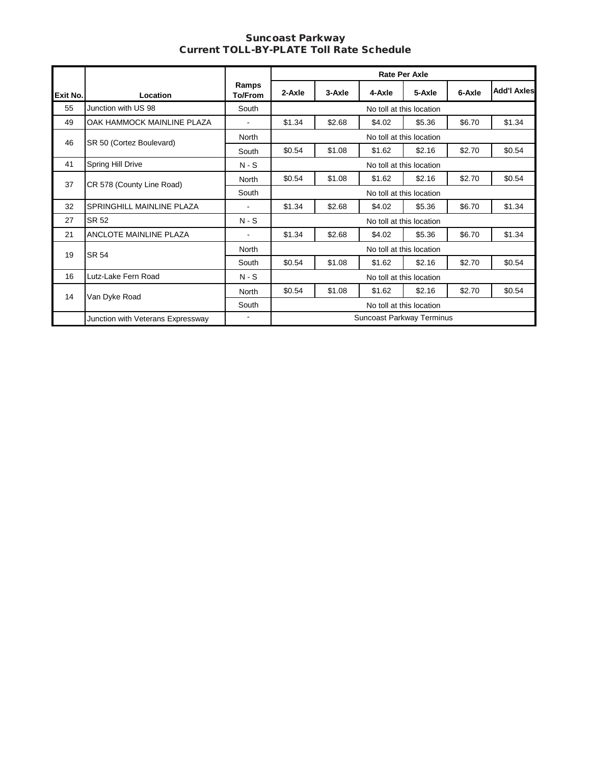#### Suncoast Parkway Current TOLL-BY-PLATE Toll Rate Schedule **Suncoast Parkway rrent TOLL-BY-PLATE Toll Rate Sched**

|          |                                   |                  |                          |        |                           | <b>Rate Per Axle</b>     |        |                    |  |
|----------|-----------------------------------|------------------|--------------------------|--------|---------------------------|--------------------------|--------|--------------------|--|
| Exit No. | Location                          | Ramps<br>To/From | 2-Axle                   | 3-Axle | 4-Axle                    | 5-Axle                   | 6-Axle | <b>Add'l Axles</b> |  |
| 55       | Junction with US 98               | South            |                          |        |                           | No toll at this location |        |                    |  |
| 49       | OAK HAMMOCK MAINLINE PLAZA        | $\sim$           | \$1.34                   | \$2.68 | \$4.02                    | \$5.36                   | \$6.70 | \$1.34             |  |
| 46       | SR 50 (Cortez Boulevard)          | North            |                          |        |                           | No toll at this location |        |                    |  |
|          |                                   | South            | \$0.54                   | \$1.08 | \$1.62                    | \$2.16                   | \$2.70 | \$0.54             |  |
| 41       | Spring Hill Drive                 | $N-S$            |                          |        |                           | No toll at this location |        |                    |  |
| 37       | CR 578 (County Line Road)         | North            | \$0.54                   | \$1.08 | \$1.62                    | \$2.16                   | \$2.70 | \$0.54             |  |
|          |                                   | South            |                          |        |                           | No toll at this location |        |                    |  |
| 32       | SPRINGHILL MAINLINE PLAZA         | $\blacksquare$   | \$1.34                   | \$2.68 | \$4.02                    | \$5.36                   | \$6.70 | \$1.34             |  |
| 27       | SR 52                             | $N-S$            |                          |        |                           | No toll at this location |        |                    |  |
| 21       | ANCLOTE MAINLINE PLAZA            | $\blacksquare$   | \$1.34                   | \$2.68 | \$4.02                    | \$5.36                   | \$6.70 | \$1.34             |  |
| 19       | <b>SR 54</b>                      | North            |                          |        |                           | No toll at this location |        |                    |  |
|          |                                   | South            | \$0.54                   | \$1.08 | \$1.62                    | \$2.16                   | \$2.70 | \$0.54             |  |
| 16       | Lutz-Lake Fern Road               | $N-S$            |                          |        |                           | No toll at this location |        |                    |  |
| 14       |                                   | North            | \$0.54                   | \$1.08 | \$1.62                    | \$2.16                   | \$2.70 | \$0.54             |  |
|          | Van Dyke Road                     | South            | No toll at this location |        |                           |                          |        |                    |  |
|          | Junction with Veterans Expressway |                  |                          |        | Suncoast Parkway Terminus |                          |        |                    |  |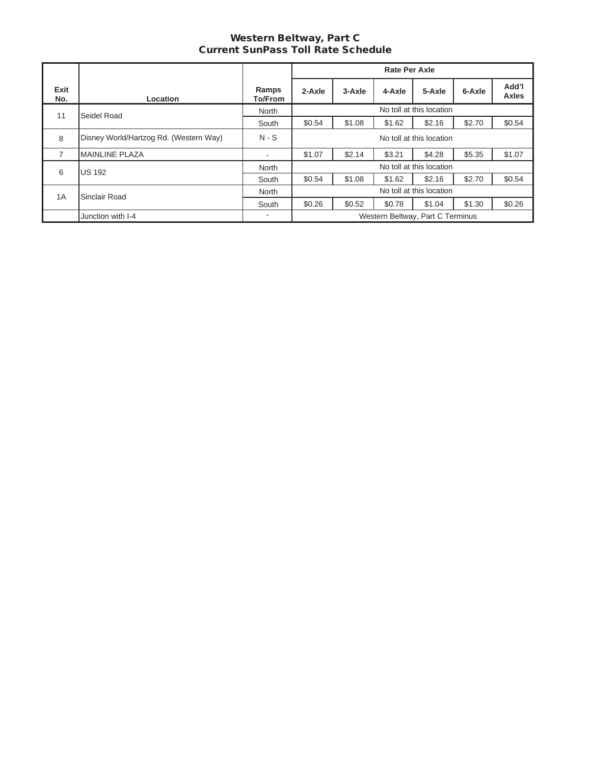## Western Beltway, Part C Current SunPass Toll Rate Schedule

|             |                                        |                  |                          |             | <b>Rate Per Axle</b> |                                  |        |                       |
|-------------|----------------------------------------|------------------|--------------------------|-------------|----------------------|----------------------------------|--------|-----------------------|
| Exit<br>No. | Location                               | Ramps<br>To/From | 2-Axle                   | $3 - Ax$ le | 4-Axle               | 5-Axle                           | 6-Axle | Add'l<br><b>Axles</b> |
| 11          | Seidel Road                            | North            | No toll at this location |             |                      |                                  |        |                       |
|             |                                        | South            | \$0.54                   | \$1.08      | \$1.62               | \$2.16                           | \$2.70 | \$0.54                |
| 8           | Disney World/Hartzog Rd. (Western Way) | $N-S$            | No toll at this location |             |                      |                                  |        |                       |
| 7           | <b>MAINLINE PLAZA</b>                  | $\sim$           | \$1.07                   | \$2.14      | \$3.21               | \$4.28                           | \$5.35 | \$1.07                |
| 6           | <b>US 192</b>                          | North            |                          |             |                      | No toll at this location         |        |                       |
|             |                                        | South            | \$0.54                   | \$1.08      | \$1.62               | \$2.16                           | \$2.70 | \$0.54                |
| 1A          | Sinclair Road                          | North            | No toll at this location |             |                      |                                  |        |                       |
|             |                                        | South            | \$0.26                   | \$0.52      | \$0.78               | \$1.04                           | \$1.30 | \$0.26                |
|             | Junction with I-4                      | ٠                |                          |             |                      | Western Beltway, Part C Terminus |        |                       |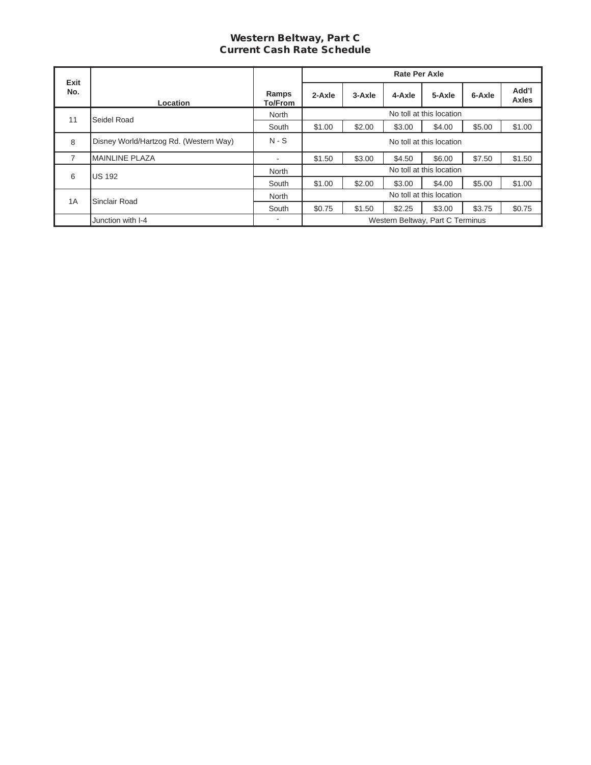### Western Beltway, Part C Current Cash Rate Schedule

|             |                                        |                          |                          |        | <b>Rate Per Axle</b> |                                  |        |                |
|-------------|----------------------------------------|--------------------------|--------------------------|--------|----------------------|----------------------------------|--------|----------------|
| Exit<br>No. | Location                               | Ramps<br>To/From         | $2-Axle$                 | 3-Axle | 4-Axle               | 5-Axle                           | 6-Axle | Add'l<br>Axles |
| 11          | Seidel Road                            | North                    | No toll at this location |        |                      |                                  |        |                |
|             |                                        | South                    | \$1.00                   | \$2.00 | \$3.00               | \$4.00                           | \$5.00 | \$1.00         |
| 8           | Disney World/Hartzog Rd. (Western Way) | $N-S$                    | No toll at this location |        |                      |                                  |        |                |
| 7           | <b>MAINLINE PLAZA</b>                  | $\overline{\phantom{a}}$ | \$1.50                   | \$3.00 | \$4.50               | \$6.00                           | \$7.50 | \$1.50         |
| 6           | <b>US 192</b>                          | North                    |                          |        |                      | No toll at this location         |        |                |
|             |                                        | South                    | \$1.00                   | \$2.00 | \$3.00               | \$4.00                           | \$5.00 | \$1.00         |
| 1A          | Sinclair Road                          | North                    |                          |        |                      | No toll at this location         |        |                |
|             |                                        | South                    | \$0.75                   | \$1.50 | \$2.25               | \$3.00                           | \$3.75 | \$0.75         |
|             | Junction with I-4                      | $\overline{\phantom{a}}$ |                          |        |                      | Western Beltway, Part C Terminus |        |                |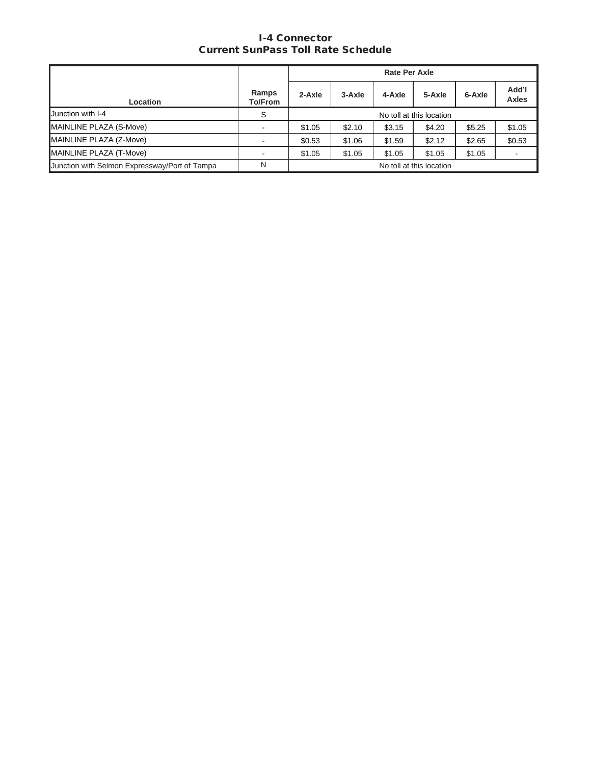## I-4 Connector Current SunPass Toll Rate Schedule

|                                               |                  |                          |                          | <b>Rate Per Axle</b> |        |        |                          |
|-----------------------------------------------|------------------|--------------------------|--------------------------|----------------------|--------|--------|--------------------------|
| Location                                      | Ramps<br>To/From | $2-Axle$                 | 3-Axle                   | 4-Axle               | 5-Axle | 6-Axle | Add'l<br><b>Axles</b>    |
| <b>Junction with I-4</b>                      | S                | No toll at this location |                          |                      |        |        |                          |
| MAINLINE PLAZA (S-Move)                       |                  | \$1.05                   | \$2.10                   | \$3.15               | \$4.20 | \$5.25 | \$1.05                   |
| MAINLINE PLAZA (Z-Move)                       |                  | \$0.53                   | \$1.06                   | \$1.59               | \$2.12 | \$2.65 | \$0.53                   |
| MAINLINE PLAZA (T-Move)                       |                  | \$1.05                   | \$1.05                   | \$1.05               | \$1.05 | \$1.05 | $\overline{\phantom{a}}$ |
| Junction with Selmon Expressway/Port of Tampa | N                |                          | No toll at this location |                      |        |        |                          |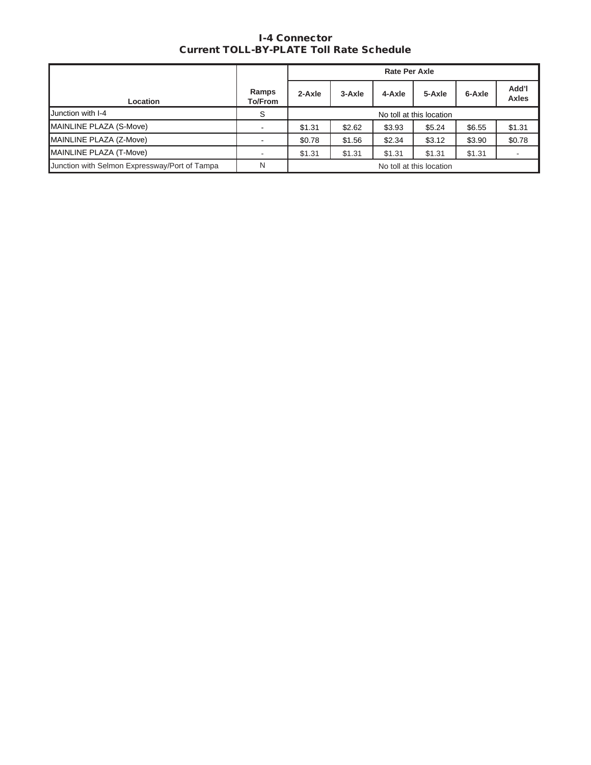## I-4 Connector Current TOLL-BY-PLATE Toll Rate Schedule

|                                               |                         |        |                          | <b>Rate Per Axle</b> |        |        |                       |
|-----------------------------------------------|-------------------------|--------|--------------------------|----------------------|--------|--------|-----------------------|
| <b>Location</b>                               | Ramps<br><b>To/From</b> | 2-Axle | 3-Axle                   | 4-Axle               | 5-Axle | 6-Axle | Add'l<br><b>Axles</b> |
| <b>Junction with I-4</b>                      | S                       |        | No toll at this location |                      |        |        |                       |
| MAINLINE PLAZA (S-Move)                       |                         | \$1.31 | \$2.62                   | \$3.93               | \$5.24 | \$6.55 | \$1.31                |
| MAINLINE PLAZA (Z-Move)                       |                         | \$0.78 | \$1.56                   | \$2.34               | \$3.12 | \$3.90 | \$0.78                |
| MAINLINE PLAZA (T-Move)                       |                         | \$1.31 | \$1.31                   | \$1.31               | \$1.31 | \$1.31 |                       |
| Junction with Selmon Expressway/Port of Tampa | N                       |        | No toll at this location |                      |        |        |                       |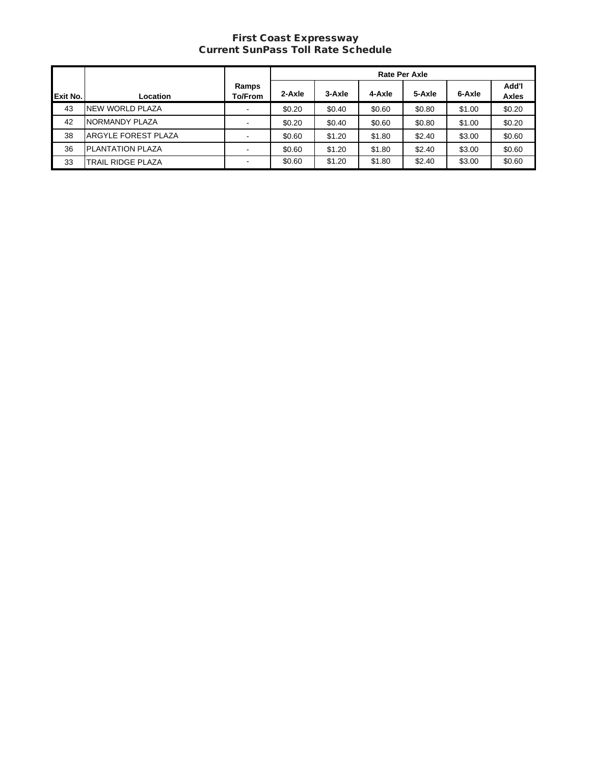#### First Coast Expressway Current SunPass Toll Rate Schedule

|          |                            |                          | <b>Rate Per Axle</b> |        |        |        |        |                       |
|----------|----------------------------|--------------------------|----------------------|--------|--------|--------|--------|-----------------------|
| Exit No. | Location                   | Ramps<br>To/From         | 2-Axle               | 3-Axle | 4-Axle | 5-Axle | 6-Axle | Add'l<br><b>Axles</b> |
| 43       | <b>INEW WORLD PLAZA</b>    | $\overline{\phantom{a}}$ | \$0.20               | \$0.40 | \$0.60 | \$0.80 | \$1.00 | \$0.20                |
| 42       | NORMANDY PLAZA             |                          | \$0.20               | \$0.40 | \$0.60 | \$0.80 | \$1.00 | \$0.20                |
| 38       | <b>ARGYLE FOREST PLAZA</b> | $\blacksquare$           | \$0.60               | \$1.20 | \$1.80 | \$2.40 | \$3.00 | \$0.60                |
| 36       | <b>PLANTATION PLAZA</b>    | $\blacksquare$           | \$0.60               | \$1.20 | \$1.80 | \$2.40 | \$3.00 | \$0.60                |
| 33       | <b>TRAIL RIDGE PLAZA</b>   | $\blacksquare$           | \$0.60               | \$1.20 | \$1.80 | \$2.40 | \$3.00 | \$0.60                |